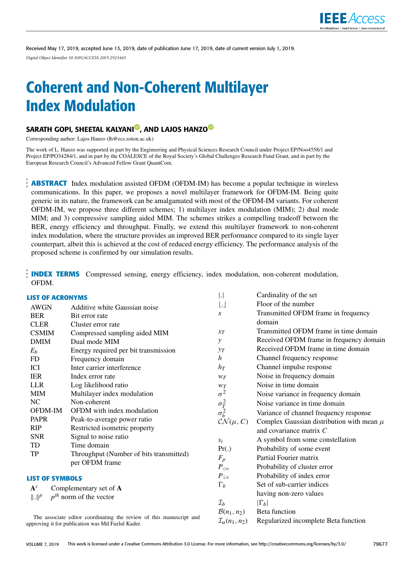

Received May 17, 2019, accepted June 13, 2019, date of publication June 17, 2019, date of current version July 1, 2019. *Digital Object Identifier 10.1109/ACCESS.2019.2923445*

# Coherent and Non-Coherent Multilayer Index Modulation

### SARATH GOPI, SHEETAL KALYANI<sup>®</sup>, AND LAJOS HANZO<sup>®</sup>

Corresponding author: Lajos Hanzo (lh@ecs.soton.ac.uk)

The work of L. Hanzo was supported in part by the Engineering and Physical Sciences Research Council under Project EP/Noo4558/1 and Project EP/PO34284/1, and in part by the COALESCE of the Royal Society's Global Challenges Research Fund Grant, and in part by the European Research Council's Advanced Fellow Grant QuantCom.

**ABSTRACT** Index modulation assisted OFDM (OFDM-IM) has become a popular technique in wireless communications. In this paper, we proposes a novel multilayer framework for OFDM-IM. Being quite generic in its nature, the framework can be amalgamated with most of the OFDM-IM variants. For coherent OFDM-IM, we propose three different schemes; 1) multilayer index modulation (MIM); 2) dual mode MIM; and 3) compressive sampling aided MIM. The schemes strikes a compelling tradeoff between the BER, energy efficiency and throughput. Finally, we extend this multilayer framework to non-coherent index modulation, where the structure provides an improved BER performance compared to its single layer counterpart, albeit this is achieved at the cost of reduced energy efficiency. The performance analysis of the proposed scheme is confirmed by our simulation results.

**INDEX TERMS** Compressed sensing, energy efficiency, index modulation, non-coherent modulation, OFDM.

| <b>LIST OF ACRONYMS</b>                                                                                                  |                                         | $\vert . \vert$                  | Cardinality of the set                        |
|--------------------------------------------------------------------------------------------------------------------------|-----------------------------------------|----------------------------------|-----------------------------------------------|
| <b>AWGN</b>                                                                                                              | Additive white Gaussian noise           | IJ                               | Floor of the number                           |
| <b>BER</b>                                                                                                               | Bit error rate                          | $\mathcal{X}$                    | Transmitted OFDM frame in frequency           |
| <b>CLER</b>                                                                                                              | Cluster error rate                      |                                  | domain                                        |
| <b>CSMIM</b>                                                                                                             | Compressed sampling aided MIM           | $x_T$                            | Transmitted OFDM frame in time domain         |
| <b>DMIM</b>                                                                                                              | Dual mode MIM                           | y                                | Received OFDM frame in frequency domain       |
| $E_b$                                                                                                                    | Energy required per bit transmission    | $y_T$                            | Received OFDM frame in time domain            |
| FD                                                                                                                       | Frequency domain                        | $\boldsymbol{h}$                 | Channel frequency response                    |
| ICI                                                                                                                      | Inter carrier interference              | $h_T$                            | Channel impulse response                      |
| <b>IER</b>                                                                                                               | Index error rate                        | $W_F$                            | Noise in frequency domain                     |
| <b>LLR</b>                                                                                                               | Log likelihood ratio                    | WT                               | Noise in time domain                          |
| <b>MIM</b>                                                                                                               | Multilayer index modulation             | $\sigma^2$                       | Noise variance in frequency domain            |
| NC                                                                                                                       | Non-coherent                            |                                  | Noise variance in time domain                 |
| OFDM-IM                                                                                                                  | OFDM with index modulation              | $\sigma_T^2 \over \sigma_h^2$    | Variance of channel frequency response        |
| <b>PAPR</b>                                                                                                              | Peak-to-average power ratio             | $\mathcal{CN}(\mu, C)$           | Complex Gaussian distribution with mean $\mu$ |
| RIP                                                                                                                      | Restricted isometric property           |                                  | and covariance matrix $C$                     |
| <b>SNR</b>                                                                                                               | Signal to noise ratio                   | $S_i$                            | A symbol from some constellation              |
| TD                                                                                                                       | Time domain                             | Pr(.)                            | Probability of some event                     |
| TP                                                                                                                       | Throughput (Number of bits transmitted) | $F_p$                            | Partial Fourier matrix                        |
|                                                                                                                          | per OFDM frame                          | $P_{ce}$                         | Probability of cluster error                  |
| <b>LIST OF SYMBOLS</b>                                                                                                   |                                         | $P_{\text{ie}}$                  | Probability of index error                    |
|                                                                                                                          |                                         | $\Gamma_b$                       | Set of sub-carrier indices                    |
| ${\bf A}^c$<br>Complementary set of A<br>$p^{th}$ norm of the vector                                                     |                                         |                                  | having non-zero values                        |
| $\ \cdot\ ^p$                                                                                                            |                                         | $\mathcal{I}_b$                  | $ \Gamma_b $                                  |
|                                                                                                                          |                                         | $B(n_1, n_2)$                    | Beta function                                 |
| The associate editor coordinating the review of this manuscript and<br>annuarin a it fan myhligation was Md Esglyd Vodau |                                         | $\mathcal{I}_{\alpha}(n_1, n_2)$ | Regularized incomplete Beta function          |

The associate editor coordinating the review of this manuscript and approving it for publication was Md Fazlul Kader.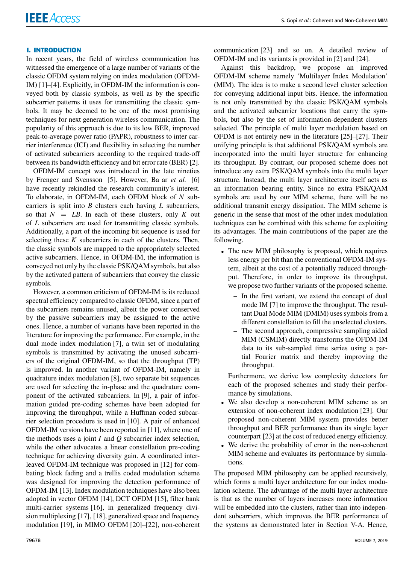#### **I. INTRODUCTION**

In recent years, the field of wireless communication has witnessed the emergence of a large number of variants of the classic OFDM system relying on index modulation (OFDM-IM) [1]–[4]. Explicitly, in OFDM-IM the information is conveyed both by classic symbols, as well as by the specific subcarrier patterns it uses for transmitting the classic symbols. It may be deemed to be one of the most promising techniques for next generation wireless communication. The popularity of this approach is due to its low BER, improved peak-to-average power ratio (PAPR), robustness to inter carrier interference (ICI) and flexibility in selecting the number of activated subcarriers according to the required trade-off between its bandwidth efficiency and bit error rate (BER) [2].

OFDM-IM concept was introduced in the late nineties by Frenger and Svensson [5]. However, Ba ar et al. [6] have recently rekindled the research community's interest. To elaborate, in OFDM-IM, each OFDM block of *N* subcarriers is split into *B* clusters each having *L* subcarriers, so that  $N = LB$ . In each of these clusters, only K out of *L* subcarriers are used for transmitting classic symbols. Additionally, a part of the incoming bit sequence is used for selecting these *K* subcarriers in each of the clusters. Then, the classic symbols are mapped to the appropriately selected active subcarriers. Hence, in OFDM-IM, the information is conveyed not only by the classic PSK/QAM symbols, but also by the activated pattern of subcarriers that convey the classic symbols.

However, a common criticism of OFDM-IM is its reduced spectral efficiency compared to classic OFDM, since a part of the subcarriers remains unused, albeit the power conserved by the passive subcarriers may be assigned to the active ones. Hence, a number of variants have been reported in the literature for improving the performance. For example, in the dual mode index modulation [7], a twin set of modulating symbols is transmitted by activating the unused subcarriers of the original OFDM-IM, so that the throughput (TP) is improved. In another variant of OFDM-IM, namely in quadrature index modulation [8], two separate bit sequences are used for selecting the in-phase and the quadrature component of the activated subcarriers. In [9], a pair of information guided pre-coding schemes have been adopted for improving the throughput, while a Huffman coded subcarrier selection procedure is used in [10]. A pair of enhanced OFDM-IM versions have been reported in [11], where one of the methods uses a joint *I* and *Q* subcarrier index selection, while the other advocates a linear constellation pre-coding technique for achieving diversity gain. A coordinated interleaved OFDM-IM technique was proposed in [12] for combating block fading and a trellis coded modulation scheme was designed for improving the detection performance of OFDM-IM [13]. Index modulation techniques have also been adopted in vector OFDM [14], DCT OFDM [15], filter bank multi-carrier systems [16], in generalized frequency division multiplexing [17], [18], generalized space and frequency modulation [19], in MIMO OFDM [20]–[22], non-coherent communication [23] and so on. A detailed review of OFDM-IM and its variants is provided in [2] and [24].

Against this backdrop, we propose an improved OFDM-IM scheme namely 'Multilayer Index Modulation' (MIM). The idea is to make a second level cluster selection for conveying additional input bits. Hence, the information is not only transmitted by the classic PSK/QAM symbols and the activated subcarrier locations that carry the symbols, but also by the set of information-dependent clusters selected. The principle of multi layer modulation based on OFDM is not entirely new in the literature [25]–[27]. Their unifying principle is that additional PSK/QAM symbols are incorporated into the multi layer structure for enhancing its throughput. By contrast, our proposed scheme does not introduce any extra PSK/QAM symbols into the multi layer structure. Instead, the multi layer architecture itself acts as an information bearing entity. Since no extra PSK/QAM symbols are used by our MIM scheme, there will be no additional transmit energy dissipation. The MIM scheme is generic in the sense that most of the other index modulation techniques can be combined with this scheme for exploiting its advantages. The main contributions of the paper are the following.

- The new MIM philosophy is proposed, which requires less energy per bit than the conventional OFDM-IM system, albeit at the cost of a potentially reduced throughput. Therefore, in order to improve its throughput, we propose two further variants of the proposed scheme.
	- **–** In the first variant, we extend the concept of dual mode IM [7] to improve the throughput. The resultant Dual Mode MIM (DMIM) uses symbols from a different constellation to fill the unselected clusters.
	- **–** The second approach, compressive sampling aided MIM (CSMIM) directly transforms the OFDM-IM data to its sub-sampled time series using a partial Fourier matrix and thereby improving the throughput.

Furthermore, we derive low complexity detectors for each of the proposed schemes and study their performance by simulations.

- We also develop a non-coherent MIM scheme as an extension of non-coherent index modulation [23]. Our proposed non-coherent MIM system provides better throughput and BER performance than its single layer counterpart [23] at the cost of reduced energy efficiency.
- We derive the probability of error in the non-coherent MIM scheme and evaluates its performance by simulations.

The proposed MIM philosophy can be applied recursively, which forms a multi layer architecture for our index modulation scheme. The advantage of the multi layer architecture is that as the number of layers increases more information will be embedded into the clusters, rather than into independent subcarriers, which improves the BER performance of the systems as demonstrated later in Section V-A. Hence,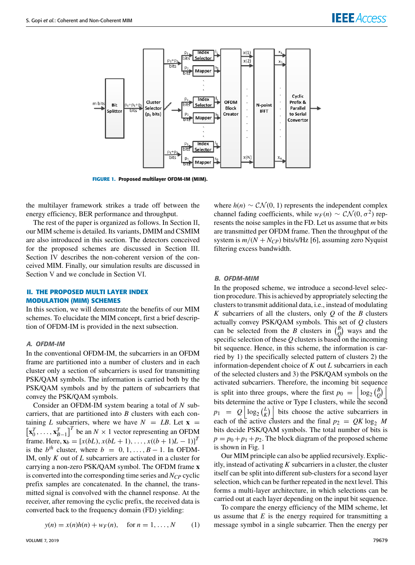

**FIGURE 1.** Proposed multilayer OFDM-IM (MIM).

the multilayer framework strikes a trade off between the energy efficiency, BER performance and throughput.

The rest of the paper is organized as follows. In Section II, our MIM scheme is detailed. Its variants, DMIM and CSMIM are also introduced in this section. The detectors conceived for the proposed schemes are discussed in Section III. Section IV describes the non-coherent version of the conceived MIM. Finally, our simulation results are discussed in Section V and we conclude in Section VI.

#### **II. THE PROPOSED MULTI LAYER INDEX MODULATION (MIM) SCHEMES**

In this section, we will demonstrate the benefits of our MIM schemes. To elucidate the MIM concept, first a brief description of OFDM-IM is provided in the next subsection.

#### A. OFDM-IM

In the conventional OFDM-IM, the subcarriers in an OFDM frame are partitioned into a number of clusters and in each cluster only a section of subcarriers is used for transmitting PSK/QAM symbols. The information is carried both by the PSK/QAM symbols and by the pattern of subcarriers that convey the PSK/QAM symbols.

Consider an OFDM-IM system bearing a total of *N* subcarriers, that are partitioned into *B* clusters with each containing *L* subcarriers, where we have  $N = LB$ . Let  $\mathbf{x} =$  $\begin{bmatrix} \mathbf{x}_0^T, \dots, \mathbf{x}_{B-1}^T \end{bmatrix}^T$  be an  $N \times 1$  vector representing an OFDM frame. Here,  $\mathbf{x}_b = [x(bL), x(bL+1), \dots, x((b+1)L-1)]^T$ is the  $b^{th}$  cluster, where  $b = 0, 1, \ldots, B-1$ . In OFDM-IM, only *K* out of *L* subcarriers are activated in a cluster for carrying a non-zero PSK/QAM symbol. The OFDM frame **x** is converted into the corresponding time series and  $N_{CP}$  cyclic prefix samples are concatenated. In the channel, the transmitted signal is convolved with the channel response. At the receiver, after removing the cyclic prefix, the received data is converted back to the frequency domain (FD) yielding:

$$
y(n) = x(n)h(n) + w_F(n)
$$
, for  $n = 1, ..., N$  (1)

where  $h(n) \sim \mathcal{CN}(0, 1)$  represents the independent complex channel fading coefficients, while  $w_F(n) \sim \mathcal{CN}(0, \sigma^2)$  represents the noise samples in the FD. Let us assume that *m* bits are transmitted per OFDM frame. Then the throughput of the system is  $m/(N + N_{CP})$  bits/s/Hz [6], assuming zero Nyquist filtering excess bandwidth.

#### B. OFDM-MIM

In the proposed scheme, we introduce a second-level selection procedure. This is achieved by appropriately selecting the clusters to transmit additional data, i.e., instead of modulating *K* subcarriers of all the clusters, only *Q* of the *B* clusters actually convey PSK/QAM symbols. This set of *Q* clusters can be selected from the *B* clusters in  $\binom{B}{O}$ *Q* ways and the specific selection of these *Q* clusters is based on the incoming bit sequence. Hence, in this scheme, the information is carried by 1) the specifically selected pattern of clusters 2) the information-dependent choice of *K* out *L* subcarriers in each of the selected clusters and 3) the PSK/QAM symbols on the activated subcarriers. Therefore, the incoming bit sequence is split into three groups, where the first  $p_0 = \left| \log_2 \left( \frac{B}{Q} \right) \right|$  $\binom{B}{Q}$ bits determine the active or Type I clusters, while the second  $p_1 = Q \Big| \log_2 \left(\frac{L}{K}\right)$  $\left| \begin{array}{c} L \\ K \end{array} \right|$  bits choose the active subcarriers in each of the active clusters and the final  $p_2 = QK \log_2 M$ bits decide PSK/QAM symbols. The total number of bits is  $p = p_0 + p_1 + p_2$ . The block diagram of the proposed scheme is shown in Fig. 1

Our MIM principle can also be applied recursively. Explicitly, instead of activating *K* subcarriers in a cluster, the cluster itself can be split into different sub-clusters for a second layer selection, which can be further repeated in the next level. This forms a multi-layer architecture, in which selections can be carried out at each layer depending on the input bit sequence.

To compare the energy efficiency of the MIM scheme, let us assume that *E* is the energy required for transmitting a message symbol in a single subcarrier. Then the energy per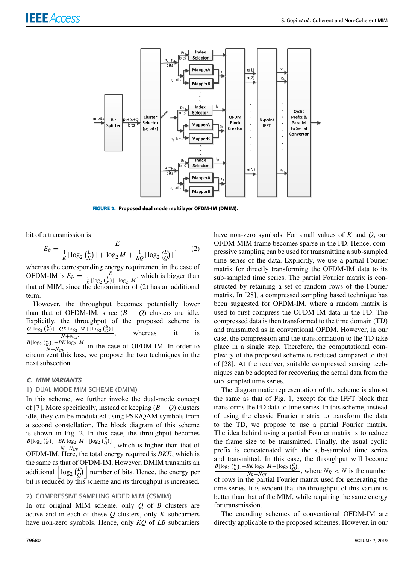

**FIGURE 2.** Proposed dual mode multilayer OFDM-IM (DMIM).

bit of a transmission is

$$
E_b = \frac{E}{\frac{1}{K} \lfloor \log_2 \binom{L}{K} \rfloor + \log_2 M + \frac{1}{KQ} \lfloor \log_2 \binom{B}{Q} \rfloor},\tag{2}
$$

whereas the corresponding energy requirement in the case of OFDM-IM is  $E_b =$  $\frac{E}{\sqrt{K}} \frac{1}{\lfloor \log_2(\frac{L}{K}) \rfloor + \log_2 M}$ , which is bigger than that of MIM, since the denominator of (2) has an additional term.

However, the throughput becomes potentially lower than that of OFDM-IM, since  $(B - Q)$  clusters are idle. Explicitly, the throughput of the proposed scheme is  $Q$ [log<sub>2</sub> ( $\binom{L}{K}$ ]+ $QK$  log<sub>2</sub>  $M$ +[log<sub>2</sub> ( $\binom{B}{Q}$ ] *N*+*NCP* whereas it is  $B\lfloor \log_2 {L \choose K} \rfloor + BK \log_2 M$  $\frac{KJ_1 + BK_1 \log_2 M}{N + N_c}$  in the case of OFDM-IM. In order to circumvent this loss, we propose the two techniques in the next subsection

#### C. MIM VARIANTS

#### 1) DUAL MODE MIM SCHEME (DMIM)

In this scheme, we further invoke the dual-mode concept of [7]. More specifically, instead of keeping  $(B - Q)$  clusters idle, they can be modulated using PSK/QAM symbols from a second constellation. The block diagram of this scheme is shown in Fig. 2. In this case, the throughput becomes  $B\left[\log_2(\frac{l}{K})\right]+BK\log_2 M+\left[\log_2(\frac{l}{Q})\right]$ , which is higher than that of  $N+N_{CP}$ , which is higher than that of OFDM-IM. Here, the total energy required is *BKE*, which is the same as that of OFDM-IM. However, DMIM transmits an additional  $\log_2 \left(\frac{B}{Q}\right)$  $\begin{bmatrix} B \\ Q \end{bmatrix}$  number of bits. Hence, the energy per bit is reduced by this scheme and its throughput is increased.

#### 2) COMPRESSIVE SAMPLING AIDED MIM (CSMIM)

In our original MIM scheme, only *Q* of *B* clusters are active and in each of these *Q* clusters, only *K* subcarriers have non-zero symbols. Hence, only *KQ* of *LB* subcarriers

have non-zero symbols. For small values of *K* and *Q*, our OFDM-MIM frame becomes sparse in the FD. Hence, compressive sampling can be used for transmitting a sub-sampled time series of the data. Explicitly, we use a partial Fourier matrix for directly transforming the OFDM-IM data to its sub-sampled time series. The partial Fourier matrix is constructed by retaining a set of random rows of the Fourier matrix. In [28], a compressed sampling based technique has been suggested for OFDM-IM, where a random matrix is used to first compress the OFDM-IM data in the FD. The compressed data is then transformed to the time domain (TD) and transmitted as in conventional OFDM. However, in our case, the compression and the transformation to the TD take place in a single step. Therefore, the computational complexity of the proposed scheme is reduced compared to that of [28]. At the receiver, suitable compressed sensing techniques can be adopted for recovering the actual data from the sub-sampled time series.

The diagrammatic representation of the scheme is almost the same as that of Fig. 1, except for the IFFT block that transforms the FD data to time series. In this scheme, instead of using the classic Fourier matrix to transform the data to the TD, we propose to use a partial Fourier matrix. The idea behind using a partial Fourier matrix is to reduce the frame size to be transmitted. Finally, the usual cyclic prefix is concatenated with the sub-sampled time series and transmitted. In this case, the throughput will become  $B\lfloor \log_2 {L \choose K} \rfloor + BK \log_2 M + \lfloor \log_2 {B \choose Q} \rfloor$  $\frac{N_R + N_{CP}}{N_R + N_{CP}}$ , where  $N_R < N$  is the number  $\overline{N_R + N_{CP}}$ , where  $N_R < N$  is the number<br>of rows in the partial Fourier matrix used for generating the time series. It is evident that the throughput of this variant is better than that of the MIM, while requiring the same energy for transmission.

The encoding schemes of conventional OFDM-IM are directly applicable to the proposed schemes. However, in our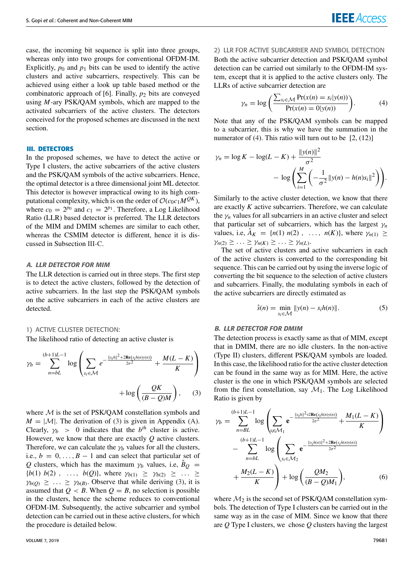case, the incoming bit sequence is split into three groups, whereas only into two groups for conventional OFDM-IM. Explicitly,  $p_0$  and  $p_1$  bits can be used to identify the active clusters and active subcarriers, respectively. This can be achieved using either a look up table based method or the combinatoric approach of [6]. Finally, *p*<sup>2</sup> bits are conveyed using *M*-ary PSK/QAM symbols, which are mapped to the activated subcarriers of the active clusters. The detectors conceived for the proposed schemes are discussed in the next section.

#### **III. DETECTORS**

In the proposed schemes, we have to detect the active or Type I clusters, the active subcarriers of the active clusters and the PSK/QAM symbols of the active subcarriers. Hence, the optimal detector is a three dimensional joint ML detector. This detector is however impractical owing to its high computational complexity, which is on the order of  $\mathcal{O}(c_0c_1M^{QK})$ , where  $c_0 = 2^{p_0}$  and  $c_1 = 2^{p_1}$ . Therefore, a Log Likelihood Ratio (LLR) based detector is preferred. The LLR detectors of the MIM and DMIM schemes are similar to each other, whereas the CSMIM detector is different, hence it is discussed in Subsection III-C.

#### A. LLR DETECTOR FOR MIM

The LLR detection is carried out in three steps. The first step is to detect the active clusters, followed by the detection of active subcarriers. In the last step the PSK/QAM symbols on the active subcarriers in each of the active clusters are detected.

#### 1) ACTIVE CLUSTER DETECTION:

The likelihood ratio of detecting an active cluster is

$$
\gamma_b = \sum_{n=bl}^{(b+1)L-1} \log \left( \sum_{s_i \in \mathcal{M}} e^{-\frac{\|s_i h\|^2 + 2\text{Re}(s_i h(n) y(n))}{2\sigma^2}} + \frac{M(L-K)}{K} \right) + \log \left( \frac{QK}{(B-Q)M} \right), \quad (3)
$$

where  $M$  is the set of PSK/QAM constellation symbols and  $M = |\mathcal{M}|$ . The derivation of (3) is given in Appendix (A). Clearly,  $\gamma_b > 0$  indicates that the  $b^{th}$  cluster is active. However, we know that there are exactly *Q* active clusters. Therefore, we can calculate the  $\gamma_b$  values for all the clusters, i.e.,  $b = 0, \ldots, B - 1$  and can select that particular set of *Q* clusters, which has the maximum  $\gamma_b$  values, i.e,  $\hat{B}_Q$  =  ${b(1) b(2)$ , ...,  ${b(Q)}$ , where  $\gamma_{b(1)} \geq \gamma_{b(2)} \geq ... \geq$  $\gamma_{b(Q)} \geq \ldots \geq \gamma_{b(B)}$ . Observe that while deriving (3), it is assumed that  $Q < B$ . When  $Q = B$ , no selection is possible in the clusters, hence the scheme reduces to conventional OFDM-IM. Subsequently, the active subcarrier and symbol detection can be carried out in these active clusters, for which the procedure is detailed below.

2) LLR FOR ACTIVE SUBCARRIER AND SYMBOL DETECTION Both the active subcarrier detection and PSK/QAM symbol detection can be carried out similarly to the OFDM-IM system, except that it is applied to the active clusters only. The LLRs of active subcarrier detection are

$$
\gamma_n = \log \left( \frac{\sum_{s_i \in \mathcal{M}} \Pr(x(n) = s_i | y(n))}{\Pr(x(n) = 0 | y(n))} \right). \tag{4}
$$

Note that any of the PSK/QAM symbols can be mapped to a subcarrier, this is why we have the summation in the numerator of (4). This ratio will turn out to be  $[2, (12)]$ 

$$
\gamma_n = \log K - \log(L - K) + \frac{\|y(n)\|^2}{\sigma^2} - \log \left( \sum_{i=1}^M \left( -\frac{1}{\sigma^2} \|y(n) - h(n)s_i\|^2 \right) \right).
$$

Similarly to the active cluster detection, we know that there are exactly *K* active subcarriers. Therefore, we can calculate the  $\gamma_n$  values for all subcarriers in an active cluster and select that particular set of subcarriers, which has the largest  $\gamma_n$ values, i.e,  $A_K = \{n(1) n(2)$ , ...,  $n(K)$ , where  $\gamma_{n(1)} \ge$  $\gamma_{n(2)} \geq \ldots \geq \gamma_{n(K)} \geq \ldots \geq \gamma_{n(L)}.$ 

The set of active clusters and active subcarriers in each of the active clusters is converted to the corresponding bit sequence. This can be carried out by using the inverse logic of converting the bit sequence to the selection of active clusters and subcarriers. Finally, the modulating symbols in each of the active subcarriers are directly estimated as

$$
\hat{s}(n) = \min_{s_i \in \mathcal{M}} \|y(n) - s_i h(n)\|.
$$
 (5)

#### B. LLR DETECTOR FOR DMIM

The detection process is exactly same as that of MIM, except that in DMIM, there are no idle clusters. In the non-active (Type II) clusters, different PSK/QAM symbols are loaded. In this case, the likelihood ratio for the active cluster detection can be found in the same way as for MIM. Here, the active cluster is the one in which PSK/QAM symbols are selected from the first constellation, say  $\mathcal{M}_1$ . The Log Likelihood Ratio is given by

$$
\gamma_b = \sum_{n=B}^{(b+1)L-1} \log \left( \sum_{s_i \in \mathcal{M}_1} e^{-\frac{||s_i h||^2 + 2\text{Re}(s_i h(n))r(n))}{2\sigma^2}} + \frac{M_1(L-K)}{K} \right) - \sum_{n=B}^{(b+1)L-1} \log \left( \sum_{s_i \in \mathcal{M}_2} e^{-\frac{||s_i h(n)||^2 + 2\text{Re}(s_i h(n))r(n))}{2\sigma^2}} + \frac{M_2(L-K)}{K} \right) + \log \left( \frac{QM_2}{(B-Q)M_1} \right),
$$
(6)

where  $\mathcal{M}_2$  is the second set of PSK/QAM constellation symbols. The detection of Type I clusters can be carried out in the same way as in the case of MIM. Since we know that there are *Q* Type I clusters, we chose *Q* clusters having the largest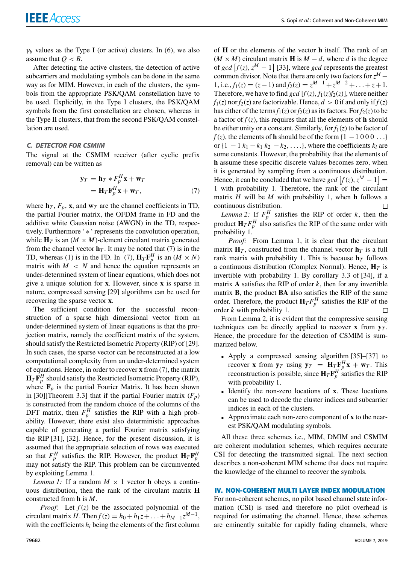$\gamma_b$  values as the Type I (or active) clusters. In (6), we also assume that  $Q < B$ .

After detecting the active clusters, the detection of active subcarriers and modulating symbols can be done in the same way as for MIM. However, in each of the clusters, the symbols from the appropriate PSK/QAM constellation have to be used. Explicitly, in the Type I clusters, the PSK/QAM symbols from the first constellation are chosen, whereas in the Type II clusters, that from the second PSK/QAM constellation are used.

#### C. DETECTOR FOR CSMIM

The signal at the CSMIM receiver (after cyclic prefix removal) can be written as

$$
\mathbf{y}_T = \mathbf{h}_T * F_p^H \mathbf{x} + \mathbf{w}_T \n= \mathbf{H}_T \mathbf{F}_p^H \mathbf{x} + \mathbf{w}_T,
$$
\n(7)

where  $\mathbf{h}_T$ ,  $F_p$ , **x**, and  $\mathbf{w}_T$  are the channel coefficients in TD, the partial Fourier matrix, the OFDM frame in FD and the additive white Gaussian noise (AWGN) in the TD, respectively. Furthermore ' ∗ ' represents the convolution operation, while  $\mathbf{H}_T$  is an  $(M \times M)$ -element circulant matrix generated from the channel vector  $\mathbf{h}_T$ . It may be noted that (7) is in the TD, whereas (1) is in the FD. In (7),  $\mathbf{H}_T \mathbf{F}_p^H$  is an ( $M \times N$ ) matrix with  $M < N$  and hence the equation represents an under-determined system of linear equations, which does not give a unique solution for **x**. However, since **x** is sparse in nature, compressed sensing [29] algorithms can be used for recovering the sparse vector **x**.

The sufficient condition for the successful reconstruction of a sparse high dimensional vector from an under-determined system of linear equations is that the projection matrix, namely the coefficient matrix of the system, should satisfy the Restricted Isometric Property (RIP) of [29]. In such cases, the sparse vector can be reconstructed at a low computational complexity from an under-determined system of equations. Hence, in order to recover **x** from (7), the matrix  $\mathbf{H}_T \mathbf{F}_p^H$  should satisfy the Restricted Isometric Property (RIP), where  $\mathbf{F}_p$  is the partial Fourier Matrix. It has been shown in [30][Theorem 3.3] that if the partial Fourier matrix  $(F_p)$ is constructed from the random choice of the columns of the DFT matrix, then  $F_p^H$  satisfies the RIP with a high probability. However, there exist also deterministic approaches capable of generating a partial Fourier matrix satisfying the RIP [31], [32]. Hence, for the present discussion, it is assumed that the appropriate selection of rows was executed so that  $F_p^H$  satisfies the RIP. However, the product  $\mathbf{H}_T \mathbf{F}_p^H$ may not satisfy the RIP. This problem can be circumvented by exploiting Lemma 1.

*Lemma 1:* If a random  $M \times 1$  vector **h** obeys a continuous distribution, then the rank of the circulant matrix **H** constructed from **h** is *M*.

*Proof:* Let *f* (*z*) be the associated polynomial of the  $circular matrix H$ . Then  $f(z) = h_0 + h_1 z + ... + h_{M-1} z^{M-1}$ , with the coefficients  $h_i$  being the elements of the first column

of **H** or the elements of the vector **h** itself. The rank of an  $(M \times M)$  circulant matrix **H** is  $M - d$ , where *d* is the degree of *gcd*  $[f(z), z^M - 1]$  [33], where *gcd* represents the greatest common divisor. Note that there are only two factors for  $z^M$  – 1, i.e.,  $f_1(z) = (z - 1)$  and  $f_2(z) = z^{M-1} + z^{M-2} + \ldots + z + 1$ . Therefore, we have to find *gcd* [ $f(z)$ ,  $f_1(z)f_2(z)$ ], where neither  $f_1(z)$  nor  $f_2(z)$  are factorizable. Hence,  $d > 0$  if and only if  $f(z)$ has either of the terms  $f_1(z)$  or  $f_2(z)$  as its factors. For  $f_2(z)$  to be a factor of  $f(z)$ , this requires that all the elements of **h** should be either unity or a constant. Similarly, for  $f_1(z)$  to be factor of  $f(z)$ , the elements of **h** should be of the form  $\{1 - 1000 \ldots\}$ or  $\{1 - 1 \, k_1 - k_1 \, k_2 - k_2, \ldots\}$ , where the coefficients  $k_i$  are some constants. However, the probability that the elements of **h** assume these specific discrete values becomes zero, when it is generated by sampling from a continuous distribution. Hence, it can be concluded that we have  $gcd[f(z), z^M - 1] =$ 1 with probability 1. Therefore, the rank of the circulant matrix *H* will be *M* with probability 1, when **h** follows a continuous distribution.  $\Box$ 

*Lemma 2:* If  $F_p^H$  satisfies the RIP of order *k*, then the product  $H_T F_p^H$  also satisfies the RIP of the same order with probability 1.

*Proof:* From Lemma 1, it is clear that the circulant matrix  $H_T$ , constructed from the channel vector  $h_T$  is a full rank matrix with probability 1. This is because  $\mathbf{h}_T$  follows a continuous distribution (Complex Normal). Hence,  $\mathbf{H}_T$  is invertible with probability 1. By corollary 3.3 of [34], if a matrix **A** satisfies the RIP of order *k*, then for any invertible matrix **B**, the product **BA** also satisfies the RIP of the same order. Therefore, the product  $\mathbf{H}_T F_p^H$  satisfies the RIP of the order *k* with probability 1.

From Lemma 2, it is evident that the compressive sensing techniques can be directly applied to recover **x** from  $y<sub>T</sub>$ . Hence, the procedure for the detection of CSMIM is summarized below.

- Apply a compressed sensing algorithm [35]–[37] to recover **x** from  $y_T$  using  $y_T = H_T F_p^H x + w_T$ . This reconstruction is possible, since  $H_T F_p^H$  satisfies the RIP with probability 1.
- Identify the non-zero locations of **x**. These locations can be used to decode the cluster indices and subcarrier indices in each of the clusters.
- Approximate each non-zero component of **x** to the nearest PSK/QAM modulating symbols.

All these three schemes i.e., MIM, DMIM and CSMIM are coherent modulation schemes, which requires accurate CSI for detecting the transmitted signal. The next section describes a non-coherent MIM scheme that does not require the knowledge of the channel to recover the symbols.

#### **IV. NON-COHERENT MULTI LAYER INDEX MODULATION**

For non-coherent schemes, no pilot based channel state information (CSI) is used and therefore no pilot overhead is required for estimating the channel. Hence, these schemes are eminently suitable for rapidly fading channels, where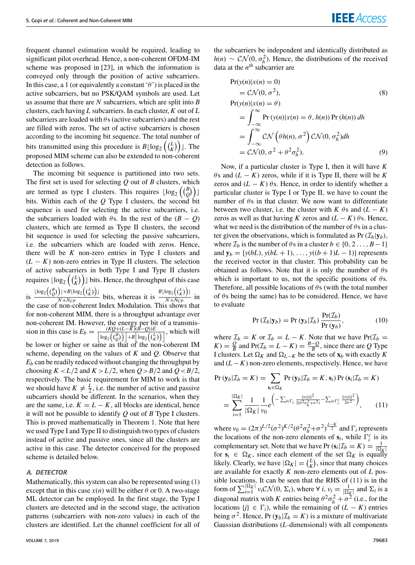frequent channel estimation would be required, leading to significant pilot overhead. Hence, a non-coherent OFDM-IM scheme was proposed in [23], in which the information is conveyed only through the position of active subcarriers. In this case, a 1 (or equivalently a constant ' $\theta$ ') is placed in the active subcarriers, but no PSK/QAM symbols are used. Let us assume that there are *N* subcarriers, which are split into *B* clusters, each having *L* subcarriers. In each cluster, *K* out of *L* subcarriers are loaded with  $\theta$ s (active subcarriers) and the rest are filled with zeros. The set of active subcarriers is chosen according to the incoming bit sequence. The total number of bits transmitted using this procedure is  $B \lfloor \log_2 \left( \frac{L}{K} \right) \right]$  $\binom{L}{K}$ ]. The proposed MIM scheme can also be extended to non-coherent detection as follows.

The incoming bit sequence is partitioned into two sets. The first set is used for selecting *Q* out of *B* clusters, which are termed as type I clusters. This requires  $\lfloor \log_2 \left( \binom{B}{O} \right) \rfloor$  $\binom{B}{Q}$ bits. Within each of the *Q* Type I clusters, the second bit sequence is used for selecting the active subcarriers, i.e. the subcarriers loaded with  $\theta$ s. In the rest of the  $(B - Q)$ clusters, which are termed as Type II clusters, the second bit sequence is used for selecting the passive subcarriers, i.e. the subcarriers which are loaded with zeros. Hence, there will be *K* non-zero entries in Type I clusters and  $(L - K)$  non-zero entries in Type II clusters. The selection of active subcarriers in both Type I and Type II clusters requires  $\lfloor \log_2 \left ( \binom{L}{K} \right ) \rfloor$  $\binom{L}{K}$ ) is bits. Hence, the throughput of this case is  $\frac{\lfloor \log_2\left(\binom{B}{Q}\right)\rfloor + B \lfloor \log_2\left(\binom{L}{K}\right)\rfloor}{N+N_{CR}}$  $\frac{D_1 + B \lfloor \log_2((\frac{L}{K}) \rfloor)}{N + N_{CP}}$  bits, whereas it is  $\frac{B \lfloor \log_2((\frac{L}{K}) \rfloor)}{N + N_{CP}}$  $\frac{C_2(\sqrt{K})^2}{N+N_{CP}}$  in the case of non-coherent Index Modulation. This shows that for non-coherent MIM, there is a throughput advantage over non-coherent IM. However, the energy per bit of a transmission in this case is  $E_b = \frac{(KQ + (L - K)(B - Q))E}{[L - (B \times L) L] \cdot [L - (A \times L)]}$  $\frac{(AQ+(L-A)(B-Q))E}{\log_2((\frac{B}{Q}))+B\log_2((\frac{L}{K}))}$ , which will be lower or higher or same as that of the non-coherent IM scheme, depending on the values of *K* and *Q*. Observe that  $E_b$  can be readily reduced without changing the throughput by choosing  $K < L/2$  and  $K > L/2$ , when  $Q > B/2$  and  $Q < B/2$ , respectively. The basic requirement for MIM to work is that we should have  $K \neq \frac{L}{2}$ , i.e. the number of active and passive subcarriers should be different. In the scenarios, when they are the same, i.e.  $K = L - K$ , all blocks are identical, hence it will not be possible to identify *Q* out of *B* Type I clusters. This is proved mathematically in Theorem 1. Note that here we used Type I and Type II to distinguish two types of clusters instead of active and passive ones, since all the clusters are active in this case. The detector conceived for the proposed scheme is detailed below.

#### A. DETECTOR

Mathematically, this system can also be represented using (1) except that in this case  $x(n)$  will be either  $\theta$  or 0. A two-stage ML detector can be employed. In the first stage, the Type I clusters are detected and in the second stage, the activation patterns (subcarriers with non-zero values) in each of the clusters are identified. Let the channel coefficient for all of the subcarriers be independent and identically distributed as  $h(n) \sim \mathcal{CN}(0, \sigma_h^2)$ . Hence, the distributions of the received data at the  $n^{th}$  subcarrier are

$$
Pr(y(n)|x(n) = 0)
$$
  
=  $\mathcal{CN}(0, \sigma^2)$ ,  

$$
Pr(y(n)|x(n) = \theta)
$$
  
=  $\int_{-\infty}^{\infty} Pr(y(n)|x(n) = \theta, h(n)) Pr(h(n)) dh$   
=  $\int_{-\infty}^{\infty} \mathcal{CN} (\theta h(n), \sigma^2) \mathcal{CN}(0, \sigma_h^2) dh$   
=  $\mathcal{CN}(0, \sigma^2 + \theta^2 \sigma_h^2)$ . (9)

Now, if a particular cluster is Type I, then it will have *K*  $\theta$ s and (*L* − *K*) zeros, while if it is Type II, there will be *K* zeros and  $(L - K)$   $\theta$ s. Hence, in order to identify whether a particular cluster is Type I or Type II, we have to count the number of  $\theta$ s in that cluster. We now want to differentiate between two cluster, i.e. the cluster with *K*  $\theta$ s and (*L* − *K*) zeros as well as that having *K* zeros and  $(L - K)$   $\theta$ s. Hence, what we need is the distribution of the number of  $\theta$ s in a cluster given the observations, which is formulated as  $Pr(\mathcal{I}_b|\mathbf{y}_b)$ , where  $\mathcal{I}_b$  is the number of  $\theta$ s in a cluster  $b \in \{0, 2, ..., B-1\}$ and  $y_b = \{y(bL), y(bL + 1), \ldots, y((b + 1)L - 1)\}\)$  represents the received vector in that cluster. This probability can be obtained as follows. Note that it is only the number of  $\theta$ s which is important to us, not the specific positions of  $\theta$ s. Therefore, all possible locations of  $\theta$ s (with the total number of  $\theta$ s being the same) has to be considered. Hence, we have to evaluate

$$
Pr(\mathcal{I}_b|\mathbf{y}_b) = Pr(\mathbf{y}_b|\mathcal{I}_b) \frac{Pr(\mathcal{I}_b)}{Pr(\mathbf{y}_b)},
$$
\n(10)

where  $\mathcal{I}_b = K$  or  $\mathcal{I}_b = L - K$ . Note that we have  $Pr(\mathcal{I}_b =$  $(K) = \frac{Q}{R}$  $\frac{Q}{B}$  and  $Pr(\mathcal{I}_b = L - K) = \frac{B - Q}{B}$  $\frac{-Q}{B}$ , since there are Q Type I clusters. Let  $\Omega_K$  and  $\Omega_{L-K}$  be the sets of  $\mathbf{x}_b$  with exactly *K* and  $(L - K)$  non-zero elements, respectively. Hence, we have

$$
\Pr\left(\mathbf{y}_b|\mathcal{I}_b = K\right) = \sum_{\mathbf{s}_i \in \Omega_K} \Pr\left(\mathbf{y}_b|\mathcal{I}_b = K, \mathbf{s}_i\right) \Pr\left(\mathbf{s}_i|\mathcal{I}_b = K\right)
$$
\n
$$
= \sum_{i=1}^{|\Omega_K|} \frac{1}{|\Omega_K|} \frac{1}{v_0} e^{-\sum_{j \in \Gamma_i} \frac{||y(j)||^2}{2(\theta^2 \sigma_h^2 + \sigma^2)} - \sum_{j \in \Gamma_i^c} \frac{||y(j)||^2}{2\sigma^2}}}{(11)}
$$

where  $v_0 = (2\pi)^{L/2} (\sigma^2)^{K/2} (\theta^2 \sigma_h^2 + \sigma^2)^{\frac{L-K}{2}}$  and  $\Gamma_i$  represents the locations of the non-zero elements of  $s_i$ , while  $\Gamma_i^c$  is its complementary set. Note that we have Pr( $s_i | \mathcal{I}_b = K$ ) =  $\frac{1}{|\Omega_K|}$  for  $s_i \in \Omega_K$ , since each element of the set  $\Omega_K$  is equally likely. Clearly, we have  $|\Omega_K| = \binom{L}{K}$  $\binom{L}{K}$ , since that many choices are available for exactly *K* non-zero elements out of *L* possible locations. It can be seen that the RHS of (11) is in the form of  $\sum_{i=1}^{\lvert \Omega_K \rvert} v_i \mathcal{CN}(0, \Sigma_i)$ , where  $\forall i, v_i = \frac{1}{\lvert \Omega_K \rvert}$  and  $\Sigma_i$  is a diagonal matrix with *K* entries being  $\theta^2 \sigma_h^2 + \sigma^2$  (i.e., for the locations  ${j}$  ∈  $\Gamma$ <sub>*i*</sub>), while the remaining of (*L* − *K*) entries being  $\sigma^2$ . Hence, Pr( $\mathbf{y}_b|\mathcal{I}_b = K$ ) is a mixture of multivariate Gaussian distributions (*L*-dimensional) with all components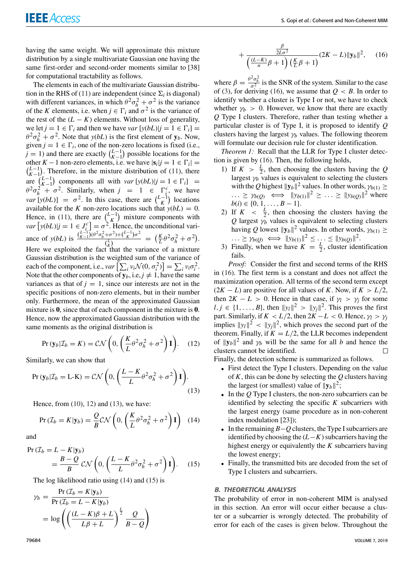having the same weight. We will approximate this mixture distribution by a single multivariate Gaussian one having the same first-order and second-order moments similar to [38] for computational tractability as follows.

The elements in each of the multivariate Gaussian distribution in the RHS of (11) are independent (since  $\Sigma_i$  is diagonal) with different variances, in which  $\theta^2 \sigma_h^2 + \sigma^2$  is the variance of the *K* elements, i.e. when  $j \in \Gamma_i$  and  $\sigma^2$  is the variance of the rest of the  $(L - K)$  elements. Without loss of generality, we let  $j = 1 \in \Gamma_i$  and then we have *var*  $[y(bL)|j = 1 \in \Gamma_i] =$  $\theta^2 \sigma_h^2 + \sigma^2$ . Note that *y*(*bL*) is the first element of **y**<sub>*b*</sub>. Now, given  $j = 1 \in \Gamma_i$ , one of the non-zero locations is fixed (i.e.,  $\tilde{j} = 1$ ) and there are exactly  $\binom{L-1}{K-1}$  $\binom{L-1}{K-1}$  possible locations for the other *K* − 1 non-zero elements, i.e. we have  $|\mathbf{s}_i|j = 1 \in \Gamma_i|$  $\binom{L-1}{K-1}$ . Therefore, in the mixture distribution of (11), there *K*−1 are  $\binom{L-1}{K-1}$  $\binom{L-1}{K-1}$  components all with *var* [*y*(*bL*)|*j* = 1 ∈  $\Gamma_i$ ] =  $\theta^2 \sigma_h^2 + \sigma^2$ . Similarly, when  $j = 1 \in \Gamma_i^c$ , we have  $var[y(bL)] = \sigma^2$ . In this case, there are  $\binom{L-1}{K}$  locations available for the *K* non-zero locations such that  $y(bL) = 0$ . Hence, in (11), there are  $\binom{L-1}{K}$  mixture components with  $var[y(bL)|j = 1 \in J_i^c] = \sigma^2$ . Hence, the unconditional variance of *y*(*bL*) is  $\frac{\binom{L-1}{K-1}(\theta^2\sigma_h^2 + \sigma^2) + \binom{L-1}{K}\sigma^2}{\binom{L}{K}}$  $\frac{(\frac{L}{K})^{(\frac{L}{K})^{(\frac{L}{K})^{(\frac{L}{K})^{(\frac{L}{K})}^{\frac{2}{\alpha}}}}}$  =  $(\frac{K}{L}\theta^2\sigma_h^2 + \sigma^2)$ . Here we exploited the fact that the variance of a mixture Gaussian distribution is the weighted sum of the variance of each of the component, i.e.,  $var\left[\sum_i v_i \mathcal{N}(0, \sigma_i^2)\right] = \sum_i v_i \sigma_i^2$ . Note that the other components of  $y_b$ , i.e,  $j \neq 1$ , have the same variances as that of  $j = 1$ , since our interests are not in the specific positions of non-zero elements, but in their number only. Furthermore, the mean of the approximated Gaussian mixture is **0**, since that of each component in the mixture is **0**. Hence, now the approximated Gaussian distribution with the same moments as the original distribution is

$$
Pr(\mathbf{y}_b|\mathcal{I}_b = K) = \mathcal{CN}\left(0, \left(\frac{K}{L}\theta^2 \sigma_h^2 + \sigma^2\right)\mathbf{I}\right). \quad (12)
$$

Similarly, we can show that

$$
\Pr\left(\mathbf{y}_b|\mathcal{I}_b = \mathbf{L}\cdot\mathbf{K}\right) = \mathcal{CN}\left(0, \left(\frac{L-K}{L}\theta^2\sigma_h^2 + \sigma^2\right)\mathbf{I}\right). \tag{13}
$$

Hence, from (10), 12) and (13), we have:

$$
\Pr\left(\mathcal{I}_b = K|\mathbf{y}_b\right) = \frac{Q}{B} C \mathcal{N}\left(0, \left(\frac{K}{L}\theta^2 \sigma_h^2 + \sigma^2\right) \mathbf{I}\right) \tag{14}
$$

and

$$
\Pr(T_b = L - K | \mathbf{y}_b) = \frac{B - Q}{B} C \mathcal{N} \left( 0, \left( \frac{L - K}{L} \theta^2 \sigma_h^2 + \sigma^2 \right) \mathbf{I} \right). \tag{15}
$$

The log likelihood ratio using (14) and (15) is

$$
\gamma_b = \frac{\Pr(\mathcal{I}_b = K|\mathbf{y}_b)}{\Pr(\mathcal{I}_b = L - K|\mathbf{y}_b)}
$$
  
=  $\log \left( \left( \frac{(L - K)\beta + L}{L\beta + L} \right)^{\frac{L}{2}} \frac{Q}{B - Q} \right)$ 

$$
+\frac{\frac{\beta}{2L\sigma^2}}{\left(\frac{(L-K)}{n}\beta+1\right)\left(\frac{K}{L}\beta+1\right)}(2K-L)\|\mathbf{y}_b\|^2,\qquad(16)
$$

where  $\beta = \frac{\theta^2 \sigma_h^2}{\sigma_s^2}$  is the SNR of the system. Similar to the case of (3), for deriving (16), we assume that  $Q < B$ . In order to identify whether a cluster is Type I or not, we have to check whether  $\gamma_b > 0$ . However, we know that there are exactly *Q* Type I clusters. Therefore, rather than testing whether a particular cluster is of Type I, it is proposed to identify *Q* clusters having the largest  $\gamma_b$  values. The following theorem will formulate our decision rule for cluster identification.

*Theorem 1:* Recall that the LLR for Type I cluster detection is given by (16). Then, the following holds,

- 1) If  $K > \frac{L}{2}$ , then choosing the clusters having the *Q* largest  $\gamma_b$  values is equivalent to selecting the clusters with the *Q* highest  $||\mathbf{y}_b||^2$  values. In other words,  $\gamma_{b(1)} \geq$  $\cdots \ge \gamma_{b(Q)} \iff ||y_{b(1)}||^2 \ge \cdots \ge ||y_{b(Q)}||^2$  where  $b(i) \in \{0, 1, \ldots, B-1\}.$
- 2) If  $K < \frac{L}{2}$ , then choosing the clusters having the  $Q$  largest  $\gamma_b$  values is equivalent to selecting clusters having *Q* lowest  $||\mathbf{y}_b||^2$  values. In other words,  $\gamma_{b(1)} \geq$  $\cdots \geq \gamma_{b(Q)} \iff ||y_{b(1)}||^2 \leq \cdots \leq ||y_{b(Q)}||^2.$
- 3) Finally, when we have  $K = \frac{L}{2}$ , cluster identification fails.

*Proof:* Consider the first and second terms of the RHS in (16). The first term is a constant and does not affect the maximization operation. All terms of the second term except  $(2K - L)$  are positive for all values of *K*. Now, if  $K > L/2$ , then  $2K - L > 0$ . Hence in that case, if  $\gamma_l > \gamma_j$  for some  $l, j \in \{1, \ldots, B\}$ , then  $||y_l||^2 > ||y_j||^2$ . This proves the first part. Similarly, if  $K < L/2$ , then  $2K - L < 0$ . Hence,  $\gamma_l > \gamma_l$ implies  $||y_l||^2 < ||y_j||^2$ , which proves the second part of the theorem. Finally, if  $K = L/2$ , the LLR becomes independent of  $\|\mathbf{y}_b\|^2$  and  $\gamma_b$  will be the same for all *b* and hence the clusters cannot be identified.  $\Box$ 

Finally, the detection scheme is summarized as follows.

- First detect the Type I clusters. Depending on the value of *K*, this can be done by selecting the *Q* clusters having the largest (or smallest) value of  $||\mathbf{y}_b||^2$ ;
- In the *Q* Type I clusters, the non-zero subcarriers can be identified by selecting the specific *K* subcarriers with the largest energy (same procedure as in non-coherent index modulation [23]);
- In the remaining *B*−*Q* clusters, the Type I subcarriers are identified by choosing the (*L*−*K*) subcarriers having the highest energy or equivalently the *K* subcarriers having the lowest energy;
- Finally, the transmitted bits are decoded from the set of Type I clusters and subcarriers.

#### B. THEORETICAL ANALYSIS

The probability of error in non-coherent MIM is analysed in this section. An error will occur either because a cluster or a subcarrier is wrongly detected. The probability of error for each of the cases is given below. Throughout the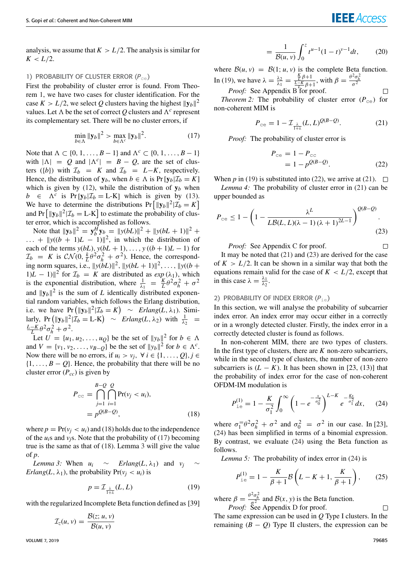## **IEEE** Access

 $\Box$ 

 $\Box$ 

analysis, we assume that  $K > L/2$ . The analysis is similar for  $K < L/2$ .

#### 1) PROBABILITY OF CLUSTER ERROR (P<sub>CE</sub>)

First the probability of cluster error is found. From Theorem 1, we have two cases for cluster identification. For the case  $K > L/2$ , we select Q clusters having the highest  $||\mathbf{y}_b||^2$ values. Let  $\Lambda$  be the set of correct Q clusters and  $\Lambda^c$  represent its complementary set. There will be no cluster errors, if

$$
\min_{b \in \Lambda} \|\mathbf{y}_b\|^2 > \max_{b \in \Lambda^c} \|\mathbf{y}_b\|^2. \tag{17}
$$

Note that  $\Lambda \subset \{0, 1, \ldots, B-1\}$  and  $\Lambda^c \subset \{0, 1, \ldots, B-1\}$ with  $|\Lambda| = Q$  and  $|\Lambda^c| = B - Q$ , are the set of clusters ({*b*}) with  $\mathcal{I}_b = K$  and  $\mathcal{I}_b = L - K$ , respectively. Hence, the distribution of  $y_b$ , when  $b \in \Lambda$  is Pr $[y_b | \mathcal{I}_b = K]$ which is given by (12), while the distribution of  $y_b$  when  $b \in \Lambda^c$  is Pr [**y**<sub>*b*</sub>| $\mathcal{I}_b = L$ -K] which is given by (13). We have to determine the distributions  $Pr [||y_b||^2 | \mathcal{I}_b = K]$ and  $Pr\left[\|\mathbf{y}_b\|^2 | \mathcal{I}_b = L-K\right]$  to estimate the probability of cluster error, which is accomplished as follows.

Note that  $\|\mathbf{y}_b\|^2 = \mathbf{y}_b^H \mathbf{y}_b = \|y(bL)\|^2 + \|y(bL+1)\|^2 +$  $\dots$  +  $\|y((b + 1)L - 1)\|^2$ , in which the distribution of each of the terms  $y(bL)$ ,  $y(bL + 1)$ , ...,  $y((b + 1)L - 1)$  for  $\mathcal{I}_b = K$  is  $\mathcal{CN}(0, \frac{k}{L}\theta^2\sigma_h^2 + \sigma^2)$ . Hence, the corresponding norm squares, i.e.,  $||y(bL)||^2$ ,  $||y(bL + 1)||^2$ , ...,  $||y((b +$ 1)*L* − 1) $\parallel$ <sup>2</sup> for  $\mathcal{I}_b = K$  are distributed as *exp* ( $\lambda_1$ ), which is the exponential distribution, where  $\frac{1}{\lambda_1} = \frac{K}{L} \theta^2 \sigma_h^2 + \sigma^2$ and  $\|\mathbf{y}_b\|^2$  is the sum of *L* identically distributed exponential random variables, which follows the Erlang distribution, i.e. we have  $Pr (||y_b||^2 | \mathcal{I}_b = K) \sim Erlang(L, \lambda_1)$ . Simi- $\text{larly, } \Pr\left(\|\mathbf{y}_b\|^2|\mathcal{I}_b = \text{L-K}\right) \sim \text{Erlang}(L, \lambda_2) \text{ with } \frac{1}{\lambda_2} =$  $\frac{L-K}{L}\theta^2\sigma_h^2 + \sigma^2$ .

Let  $U = \{u_1, u_2, \dots, u_Q\}$  be the set of  $||y_b||^2$  for  $b \in \Lambda$ and  $V = \{v_1, v_2, \dots, v_{B-Q}\}\$  be the set of  $||y_b||^2$  for  $b \in \Lambda^c$ . Now there will be no errors, if  $u_i > v_j$ ,  $\forall i \in \{1, ..., Q\}, j \in$  $\{1, \ldots, B - Q\}$ . Hence, the probability that there will be no cluster error (*Pcc*) is given by

$$
P_{\text{cc}} = \bigcap_{j=1}^{B-Q} \bigcap_{i=1}^{Q} \Pr(v_j < u_i),
$$
\n
$$
= p^{Q(B-Q)}, \tag{18}
$$

where  $p = Pr(v_i < u_i)$  and (18) holds due to the independence of the  $u_i$ s and  $v_i$ s. Note that the probability of (17) becoming true is the same as that of (18). Lemma 3 will give the value of *p*.

*Lemma 3:* When  $u_i \sim$  *Erlang*(*L*,  $\lambda_1$ ) and  $v_i \sim$ *Erlang*(*L*,  $\lambda_1$ ), the probability  $Pr(v_i < u_i)$  is

$$
p = \mathcal{I}_{\frac{\lambda}{1+\lambda}}(L, L) \tag{19}
$$

with the regularized Incomplete Beta function defined as [39]

$$
\mathcal{I}_z(u,v) = \frac{\mathcal{B}(z; u, v)}{\mathcal{B}(u, v)}
$$

$$
= \frac{1}{\mathcal{B}(u,v)} \int_0^z t^{u-1} (1-t)^{v-1} dt, \qquad (20)
$$

where  $B(u, v) = B(1; u, v)$  is the complete Beta function. In (19), we have  $\lambda = \frac{\lambda_2}{\lambda_1} = \frac{\frac{K}{L-K}\beta + 1}{\frac{L-K}{L-K}\beta + 1}$ , with  $\beta = \frac{\theta^2 \sigma_h^2}{\sigma^2}$ 

*Proof:* See Appendix B for proof.

*Theorem 2:* The probability of cluster error  $(P_{ce})$  for non-coherent MIM is

$$
P_{\rm ce} = 1 - \mathcal{I}_{\frac{\lambda}{1+\lambda}}(L, L)^{Q(B-Q)}.
$$
 (21)

*Proof:* The probability of cluster error is

$$
P_{\rm ce} = 1 - P_{\rm cc} = 1 - p^{Q(B-Q)}.
$$
 (22)

When *p* in (19) is substituted into (22), we arrive at (21).  $\Box$ 

*Lemma 4:* The probability of cluster error in (21) can be upper bounded as

$$
P_{\rm ce} \le 1 - \left(1 - \frac{\lambda^L}{L\mathcal{B}(L, L)(\lambda - 1)(\lambda + 1)^{2L - 1}}\right)^{\mathcal{Q}(B - \mathcal{Q})}.
$$
\n(23)

*Proof:* See Appendix C for proof.

It may be noted that (21) and (23) are derived for the case of  $K > L/2$ . It can be shown in a similar way that both the equations remain valid for the case of  $K < L/2$ , except that in this case  $\lambda = \frac{\lambda_1}{\lambda_2}$ .

#### 2) PROBABILITY OF INDEX ERROR (*P*ie)

In this section, we will analyse the probability of subcarrier index error. An index error may occur either in a correctly or in a wrongly detected cluster. Firstly, the index error in a correctly detected cluster is found as follows.

In non-coherent MIM, there are two types of clusters. In the first type of clusters, there are *K* non-zero subcarriers, while in the second type of clusters, the number of non-zero subcarriers is  $(L - K)$ . It has been shown in [23, (13)] that the probability of index error for the case of non-coherent OFDM-IM modulation is

$$
P_{\text{ie}}^{(1)} = 1 - \frac{K}{\sigma_1^2} \int_0^\infty \left(1 - e^{-\frac{x}{\sigma_0^2}}\right)^{L-K} e^{-\frac{Kx}{\sigma_1^2}} dx, \quad (24)
$$

where  $\sigma_1 = \frac{\theta^2 \sigma_h^2 + \sigma^2}{\theta^2}$  and  $\sigma_0 = \frac{\sigma^2}{\theta^2}$  in our case. In [23], (24) has been simplified in terms of a binomial expression. By contrast, we evaluate (24) using the Beta function as follows.

*Lemma 5:* The probability of index error in (24) is

$$
P_{\text{ie}}^{(1)} = 1 - \frac{K}{\beta + 1} \mathcal{B} \left( L - K + 1, \frac{K}{\beta + 1} \right), \qquad (25)
$$

where  $\beta = \frac{\theta^2 \sigma_h^2}{g^2}$  and  $\mathcal{B}(x, y)$  is the Beta function. *Proof:* See Appendix D for proof.

 $\Box$ The same expression can be used in *Q* Type I clusters. In the remaining  $(B - Q)$  Type II clusters, the expression can be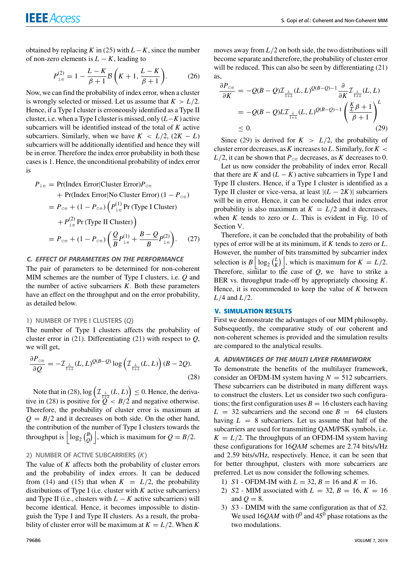obtained by replacing *K* in (25) with  $L - K$ , since the number of non-zero elements is  $L - K$ , leading to

$$
P_{\text{ie}}^{(2)} = 1 - \frac{L - K}{\beta + 1} \mathcal{B}\left(K + 1, \frac{L - K}{\beta + 1}\right). \tag{26}
$$

Now, we can find the probability of index error, when a cluster is wrongly selected or missed. Let us assume that  $K > L/2$ . Hence, if a Type I cluster is erroneously identified as a Type II cluster, i.e. when a Type I cluster is missed, only (*L*−*K*) active subcarriers will be identified instead of the total of *K* active subcarriers. Similarly, when we have  $K < L/2$ ,  $(2K - L)$ subcarriers will be additionally identified and hence they will be in error. Therefore the index error probability in both these cases is 1. Hence, the unconditional probability of index error is

$$
P_{\text{ie}} = \Pr(\text{Index Error}|\text{Cluster Error})P_{\text{ce}} + \Pr(\text{Index Error}|\text{No Cluster Error}) (1 - P_{\text{ce}}) = P_{\text{ce}} + (1 - P_{\text{ce}}) (P_{\text{ie}}^{(1)} \Pr(\text{Type I Cluster}) + P_{\text{ie}}^{(2)} \Pr(\text{Type II Cluster}) \Big)
$$

$$
= P_{\text{ce}} + (1 - P_{\text{ce}}) \left( \frac{Q}{B} P_{\text{ie}}^{(1)} + \frac{B - Q}{B} P_{\text{ie}}^{(2)} \right). \tag{27}
$$

#### C. EFFECT OF PARAMETERS ON THE PERFORMANCE

The pair of parameters to be determined for non-coherent MIM schemes are the number of Type I clusters, i.e. *Q* and the number of active subcarriers  $K$ . Both these parameters have an effect on the throughput and on the error probability, as detailed below.

#### 1) NUMBER OF TYPE I CLUSTERS (*Q*)

The number of Type I clusters affects the probability of cluster error in (21). Differentiating (21) with respect to *Q*, we will get,

$$
\frac{\partial P_{\rm ce}}{\partial Q} = -\mathcal{I}_{\frac{\lambda}{1+\lambda}}(L, L)^{Q(B-Q)} \log \left( \mathcal{I}_{\frac{\lambda}{1+\lambda}}(L, L) \right) (B - 2Q). \tag{28}
$$

Note that in (28),  $\log \left( \mathcal{I}_{\frac{\lambda}{1+\lambda}}(L, L) \right) \leq 0$ . Hence, the derivative in (28) is positive for  $Q < B/2$  and negative otherwise. Therefore, the probability of cluster error is maximum at  $Q = B/2$  and it decreases on both side. On the other hand, the contribution of the number of Type I clusters towards the throughput is  $\log_2 \left(\frac{B}{Q}\right)$  $\begin{bmatrix} B \\ Q \end{bmatrix}$ , which is maximum for  $Q = B/2$ .

#### 2) NUMBER OF ACTIVE SUBCARRIERS (*K*)

The value of *K* affects both the probability of cluster errors and the probability of index errors. It can be deduced from (14) and (15) that when  $K = L/2$ , the probability distributions of Type I (i.e. cluster with *K* active subcarriers) and Type II (i.e., clusters with  $L - K$  active subcarriers) will become identical. Hence, it becomes impossible to distinguish the Type I and Type II clusters. As a result, the probability of cluster error will be maximum at  $K = L/2$ . When K

moves away from  $L/2$  on both side, the two distributions will become separate and therefore, the probability of cluster error will be reduced. This can also be seen by differentiating (21) as,

$$
\frac{\partial P_{\rm ce}}{\partial K} = -Q(B - Q)\mathcal{I}_{\frac{\lambda}{1+\lambda}}(L, L)^{Q(B-Q)-1} \frac{\partial}{\partial K} \mathcal{I}_{\frac{\lambda}{1+\lambda}}(L, L)
$$

$$
= -Q(B - Q)L \mathcal{I}_{\frac{\lambda}{1+\lambda}}(L, L)^{Q(B-Q)-1} \left(\frac{\frac{K}{L}\beta + 1}{\beta + 1}\right)^L
$$

$$
\leq 0.
$$
(29)

Since (29) is derived for  $K > L/2$ , the probability of cluster error decreases, as *K* increases to *L*. Similarly, for *K* <  $L/2$ , it can be shown that  $P_{ce}$  decreases, as *K* decreases to 0.

Let us now consider the probability of index error. Recall that there are *K* and  $(L - K)$  active subcarriers in Type I and Type II clusters. Hence, if a Type I cluster is identified as a Type II cluster or vice-versa, at least  $|(L - 2K)|$  subcarriers will be in error. Hence, it can be concluded that index error probability is also maximum at  $K = L/2$  and it decreases, when *K* tends to zero or *L*. This is evident in Fig. 10 of Section V.

Therefore, it can be concluded that the probability of both types of error will be at its minimum, if *K* tends to zero or *L*. However, the number of bits transmitted by subcarrier index selection is  $B \Big| \log_2 \left(\frac{L}{K}\right)$  $\binom{L}{K}$ , which is maximum for  $K = L/2$ . Therefore, similar to the case of *Q*, we have to strike a BER vs. throughput trade-off by appropriately choosing *K*. Hence, it is recommended to keep the value of *K* between *L*/4 and *L*/2.

#### **V. SIMULATION RESULTS**

First we demonstrate the advantages of our MIM philosophy. Subsequently, the comparative study of our coherent and non-coherent schemes is provided and the simulation results are compared to the analytical results.

#### A. ADVANTAGES OF THE MULTI LAYER FRAMEWORK

To demonstrate the benefits of the multilayer framework, consider an OFDM-IM system having  $N = 512$  subcarriers. These subcarriers can be distributed in many different ways to construct the clusters. Let us consider two such configurations; the first configuration uses  $B = 16$  clusters each having  $L = 32$  subcarriers and the second one  $B = 64$  clusters having  $L = 8$  subcarriers. Let us assume that half of the subcarriers are used for transmitting QAM/PSK symbols, i.e.  $K = L/2$ . The throughputs of an OFDM-IM system having these configurations for 16*QAM* schemes are 2.74 bits/s/Hz and 2.59 bits/s/Hz, respectively. Hence, it can be seen that for better throughput, clusters with more subcarriers are preferred. Let us now consider the following schemes.

- 1) *S*1 OFDM-IM with  $L = 32$ ,  $B = 16$  and  $K = 16$ .
- 2) *S*2 MIM associated with  $L = 32, B = 16, K = 16$ and  $Q = 8$ .
- 3) *S*3 DMIM with the same configuration as that of *S*2. We used  $16QAM$  with  $0^0$  and  $45^0$  phase rotations as the two modulations.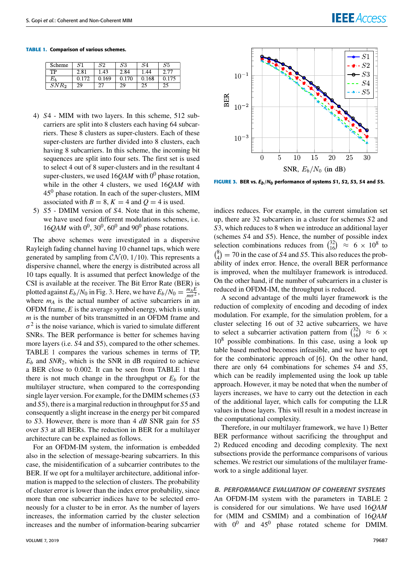# **IEEE** Access

#### **TABLE 1.** Comparison of various schemes.

| Scheme  | S1    | $^{\rm S2}$ | S3    | S4    | 55.   |
|---------|-------|-------------|-------|-------|-------|
| ТP      | 2.81  | 1.43        | 2.84  | .44   |       |
| $E_{h}$ | 0.172 | 0.169       | 0.170 | 0.168 | 0.175 |
| $SNR_2$ | 29    |             | 29    | ىت    | د ک   |

- 4) *S*4 MIM with two layers. In this scheme, 512 subcarriers are split into 8 clusters each having 64 subcarriers. These 8 clusters as super-clusters. Each of these super-clusters are further divided into 8 clusters, each having 8 subcarriers. In this scheme, the incoming bit sequences are split into four sets. The first set is used to select 4 out of 8 super-clusters and in the resultant 4 super-clusters, we used 16*QAM* with 0<sup>0</sup> phase rotation, while in the other 4 clusters, we used 16*QAM* with  $45<sup>0</sup>$  phase rotation. In each of the super-clusters, MIM associated with  $B = 8$ ,  $K = 4$  and  $Q = 4$  is used.
- 5) *S*5 DMIM version of *S*4. Note that in this scheme, we have used four different modulations schemes, i.e.  $16QAM$  with  $0^0$ ,  $30^0$ ,  $60^0$  and  $90^0$  phase rotations.

The above schemes were investigated in a dispersive Rayleigh fading channel having 10 channel taps, which were generated by sampling from  $CN(0, 1/10)$ . This represents a dispersive channel, where the energy is distributed across all 10 taps equally. It is assumed that perfect knowledge of the CSI is available at the receiver. The Bit Error Rate (BER) is plotted against  $E_b/N_0$  in Fig. 3. Here, we have  $E_b/N_0 = \frac{m_A E}{m \sigma^2}$  $\frac{m_A E}{m \sigma^2}$ , where  $m_A$  is the actual number of active subcarriers in an OFDM frame, *E* is the average symbol energy, which is unity, *m* is the number of bits transmitted in an OFDM frame and  $\sigma^2$  is the noise variance, which is varied to simulate different SNRs. The BER performance is better for schemes having more layers (i.e. *S*4 and *S*5), compared to the other schemes. TABLE 1 compares the various schemes in terms of TP,  $E_b$  and  $SNR_2$ , which is the SNR in dB required to achieve a BER close to 0.002. It can be seen from TABLE 1 that there is not much change in the throughput or  $E_b$  for the multilayer structure, when compared to the corresponding single layer version. For example, for the DMIM schemes (*S*3 and *S*5), there is a marginal reduction in throughput for *S*5 and consequently a slight increase in the energy per bit compared to *S*3. However, there is more than 4 *dB* SNR gain for *S*5 over *S*3 at all BERs. The reduction in BER for a multilayer architecture can be explained as follows.

For an OFDM-IM system, the information is embedded also in the selection of message-bearing subcarriers. In this case, the misidentification of a subcarrier contributes to the BER. If we opt for a multilayer architecture, additional information is mapped to the selection of clusters. The probability of cluster error is lower than the index error probability, since more than one subcarrier indices have to be selected erroneously for a cluster to be in error. As the number of layers increases, the information carried by the cluster selection increases and the number of information-bearing subcarrier



FIGURE 3. BER vs.  $E_b/N_0$  performance of systems S1, S2, S3, S4 and S5.

indices reduces. For example, in the current simulation set up, there are 32 subcarriers in a cluster for schemes *S*2 and *S*3, which reduces to 8 when we introduce an additional layer (schemes *S*4 and *S*5). Hence, the number of possible index selection combinations reduces from  $\binom{32}{16}$  $^{32}_{16}$ )  $\approx$  6 × 10<sup>8</sup> to  $\binom{8}{4}$  $_{4}^{8}$ ) = 70 in the case of *S*4 and *S*5. This also reduces the probability of index error. Hence, the overall BER performance is improved, when the multilayer framework is introduced. On the other hand, if the number of subcarriers in a cluster is reduced in OFDM-IM, the throughput is reduced.

A second advantage of the multi layer framework is the reduction of complexity of encoding and decoding of index modulation. For example, for the simulation problem, for a cluster selecting 16 out of 32 active subcarriers, we have to select a subcarrier activation pattern from  $\binom{32}{16}$  $^{32}_{16}$   $\approx$  6  $\times$  $10<sup>8</sup>$  possible combinations. In this case, using a look up table based method becomes infeasible, and we have to opt for the combinatoric approach of [6]. On the other hand, there are only 64 combinations for schemes *S*4 and *S*5, which can be readily implemented using the look up table approach. However, it may be noted that when the number of layers increases, we have to carry out the detection in each of the additional layer, which calls for computing the LLR values in those layers. This will result in a modest increase in the computational complexity.

Therefore, in our multilayer framework, we have 1) Better BER performance without sacrificing the throughput and 2) Reduced encoding and decoding complexity. The next subsections provide the performance comparisons of various schemes. We restrict our simulations of the multilayer framework to a single additional layer.

#### B. PERFORMANCE EVALUATION OF COHERENT SYSTEMS

An OFDM-IM system with the parameters in TABLE 2 is considered for our simulations. We have used 16*QAM* for (MIM and CSMIM) and a combination of 16*QAM* with  $0^0$  and  $45^0$  phase rotated scheme for DMIM.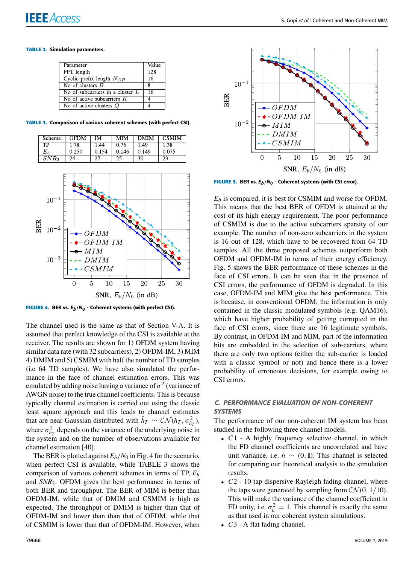#### **TABLE 2.** Simulation parameters.

| Parameter                              | Value |
|----------------------------------------|-------|
| FFT length                             | 128   |
| Cyclic prefix length $N_{CP}$          | 16    |
| No of clusters $B$                     | Ջ     |
| No of subcarriers in a cluster $L$     | 16    |
| No of active subcarriers $K$           |       |
| $\overline{No}$ of active clusters $Q$ |       |

**TABLE 3.** Comparison of various coherent schemes (with perfect CSI).

| Scheme  | <b>OFDM</b> | M     | MІМ   | <b>DMIM</b> | <b>CSMIM</b> |
|---------|-------------|-------|-------|-------------|--------------|
| TP      | 1.78        | 1.44  | 0.76  | 1.49        | 1.38         |
|         | 0.250       | 0.154 | 0.146 | 0.149       | 0.075        |
| $SNR_2$ | 24          |       |       | 30          | 29           |



**FIGURE 4.** BER vs.  $E_b/N_0$  - Coherent systems (with perfect CSI).

The channel used is the same as that of Section V-A. It is assumed that perfect knowledge of the CSI is available at the receiver. The results are shown for 1) OFDM system having similar data rate (with 32 subcarriers), 2) OFDM-IM, 3) MIM 4) DMIM and 5) CSMIM with half the number of TD samples (i.e 64 TD samples). We have also simulated the performance in the face of channel estimation errors. This was emulated by adding noise having a variance of  $\sigma^2$  (variance of AWGN noise) to the true channel coefficients. This is because typically channel estimation is carried out using the classic least square approach and this leads to channel estimates that are near-Gaussian distributed with  $\hat{h}_T \sim \mathcal{CN}(h_T, \sigma_{h_T}^2)$ , where  $\sigma_{h_T}^2$  depends on the variance of the underlying noise in the system and on the number of observations available for channel estimation [40].

The BER is plotted against  $E_b/N_0$  in Fig. 4 for the scenario, when perfect CSI is available, while TABLE 3 shows the comparison of various coherent schemes in terms of TP, *E<sup>b</sup>* and *SNR*2. OFDM gives the best performance in terms of both BER and throughput. The BER of MIM is better than OFDM-IM, while that of DMIM and CSMIM is high as expected. The throughput of DMIM is higher than that of OFDM-IM and lower than than that of OFDM, while that of CSMIM is lower than that of OFDM-IM. However, when



FIGURE 5. BER vs.  $E_b/N_0$  - Coherent systems (with CSI error).

*E<sup>b</sup>* is compared, it is best for CSMIM and worse for OFDM. This means that the best BER of OFDM is attained at the cost of its high energy requirement. The poor performance of CSMIM is due to the active subcarriers sparsity of our example. The number of non-zero subcarriers in the system is 16 out of 128, which have to be recovered from 64 TD samples. All the three proposed schemes outperform both OFDM and OFDM-IM in terms of their energy efficiency. Fig. 5 shows the BER performance of these schemes in the face of CSI errors. It can be seen that in the presence of CSI errors, the performance of OFDM is degraded. In this case, OFDM-IM and MIM give the best performance. This is because, in conventional OFDM, the information is only contained in the classic modulated symbols (e.g. QAM16), which have higher probability of getting corrupted in the face of CSI errors, since there are 16 legitimate symbols. By contrast, in OFDM-IM and MIM, part of the information bits are embedded in the selection of sub-carriers, where there are only two options (either the sub-carrier is loaded with a classic symbol or not) and hence there is a lower probability of erroneous decisions, for example owing to CSI errors.

#### C. PERFORMANCE EVALUATION OF NON-COHERENT **SYSTEMS**

The performance of our non-coherent IM system has been studied in the following three channel models.

- *C*1 A highly frequency selective channel, in which the FD channel coefficients are uncorrelated and have unit variance, i.e.  $h \sim (0, I)$ . This channel is selected for comparing our theoretical analysis to the simulation results.
- *C*2 10-tap dispersive Rayleigh fading channel, where the taps were generated by sampling from  $CN(0, 1/10)$ . This will make the variance of the channel coefficient in FD unity, i.e.  $\sigma_h^2 = 1$ . This channel is exactly the same as that used in our coherent system simulations.
- *C*3 A flat fading channel.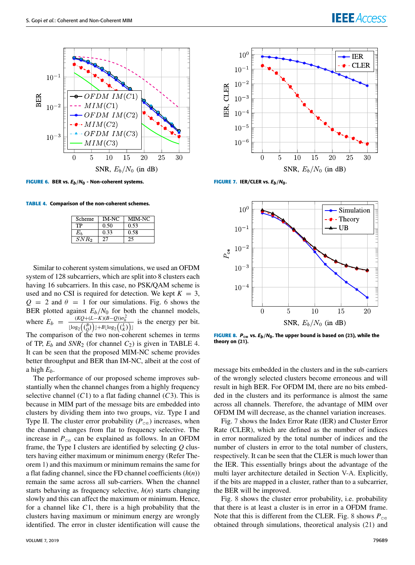

FIGURE 6. BER vs.  $E_b/N_0$  - Non-coherent systems.

**TABLE 4.** Comparison of the non-coherent schemes.

| Scheme           | IM-NC | MIM-NC |
|------------------|-------|--------|
| TP               | 0.50  | 0.53   |
| Eъ               | 0.33  | 0.58   |
| SNR <sub>2</sub> | -77   |        |

Similar to coherent system simulations, we used an OFDM system of 128 subcarriers, which are split into 8 clusters each having 16 subcarriers. In this case, no PSK/QAM scheme is used and no CSI is required for detection. We kept  $K = 3$ ,  $Q = 2$  and  $\theta = 1$  for our simulations. Fig. 6 shows the BER plotted against  $E_b/N_0$  for both the channel models, where  $E_b = \frac{(KQ + (L - K)(B - Q))\sigma_h^2}{(B_0 + (L - K)(B - Q))\sigma_h^2}$  $\frac{(\mathbf{R} \mathbf{Z} + (\mathbf{Z} - \mathbf{R})\mathbf{B} - \mathbf{Q})\mathbf{D}_h}{[\log_2((\frac{\mathbf{R}}{\mathbf{R}}))] + B[\log_2((\frac{\mathbf{R}}{\mathbf{R}}))] }$  is the energy per bit. The comparison of the two non-coherent schemes in terms of TP,  $E_b$  and  $SNR_2$  (for channel  $C_2$ ) is given in TABLE 4. It can be seen that the proposed MIM-NC scheme provides better throughput and BER than IM-NC, albeit at the cost of

a high  $E_b$ . The performance of our proposed scheme improves substantially when the channel changes from a highly frequency selective channel  $(C1)$  to a flat fading channel  $(C3)$ . This is because in MIM part of the message bits are embedded into clusters by dividing them into two groups, viz. Type I and Type II. The cluster error probability  $(P_{ce})$  increases, when the channel changes from flat to frequency selective. The increase in  $P_{\text{ce}}$  can be explained as follows. In an OFDM frame, the Type I clusters are identified by selecting *Q* clusters having either maximum or minimum energy (Refer Theorem 1) and this maximum or minimum remains the same for a flat fading channel, since the FD channel coefficients (*h*(*n*)) remain the same across all sub-carriers. When the channel starts behaving as frequency selective, *h*(*n*) starts changing slowly and this can affect the maximum or minimum. Hence, for a channel like *C*1, there is a high probability that the clusters having maximum or minimum energy are wrongly identified. The error in cluster identification will cause the



**FIGURE 7. IER/CLER vs.**  $E_b/N_0$ **.** 



FIGURE 8.  $P_{\text{ce}}$  vs.  $E_b/N_0$ . The upper bound is based on (23), while the theory on (21).

message bits embedded in the clusters and in the sub-carriers of the wrongly selected clusters become erroneous and will result in high BER. For OFDM IM, there are no bits embedded in the clusters and its performance is almost the same across all channels. Therefore, the advantage of MIM over OFDM IM will decrease, as the channel variation increases.

Fig. 7 shows the Index Error Rate (IER) and Cluster Error Rate (CLER), which are defined as the number of indices in error normalized by the total number of indices and the number of clusters in error to the total number of clusters, respectively. It can be seen that the CLER is much lower than the IER. This essentially brings about the advantage of the multi layer architecture detailed in Section V-A. Explicitly, if the bits are mapped in a cluster, rather than to a subcarrier, the BER will be improved.

Fig. 8 shows the cluster error probability, i.e. probability that there is at least a cluster is in error in a OFDM frame. Note that this is different from the CLER. Fig. 8 shows  $P_{\text{ce}}$ obtained through simulations, theoretical analysis (21) and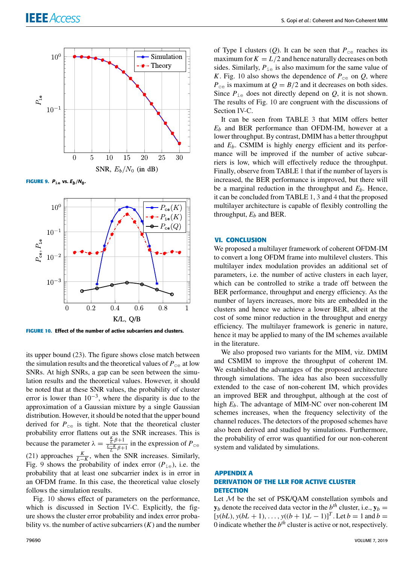



**FIGURE 9.**  $P_{\text{ie}}$  vs.  $E_b/N_0$ .



**FIGURE 10.** Effect of the number of active subcarriers and clusters.

its upper bound (23). The figure shows close match between the simulation results and the theoretical values of  $P_{ce}$  at low SNRs. At high SNRs, a gap can be seen between the simulation results and the theoretical values. However, it should be noted that at these SNR values, the probability of cluster error is lower than  $10^{-3}$ , where the disparity is due to the approximation of a Gaussian mixture by a single Gaussian distribution. However, it should be noted that the upper bound derived for  $P_{\text{ce}}$  is tight. Note that the theoretical cluster probability error flattens out as the SNR increases. This is because the parameter  $\lambda = \frac{\frac{K}{L} \beta + 1}{\frac{L-K}{L} \beta + 1}$  in the expression of  $P_{\text{ce}}$ (21) approaches  $\frac{K}{L-K}$ , when the SNR increases. Similarly, Fig. 9 shows the probability of index error  $(P_{1e})$ , i.e. the probability that at least one subcarrier index is in error in an OFDM frame. In this case, the theoretical value closely follows the simulation results.

Fig. 10 shows effect of parameters on the performance, which is discussed in Section IV-C. Explicitly, the figure shows the cluster error probability and index error probability vs. the number of active subcarriers  $(K)$  and the number

of Type I clusters  $(Q)$ . It can be seen that  $P_{\text{ce}}$  reaches its maximum for  $K = L/2$  and hence naturally decreases on both sides. Similarly,  $P_{\text{ie}}$  is also maximum for the same value of *K*. Fig. 10 also shows the dependence of  $P_{ce}$  on *Q*, where  $P_{\text{ce}}$  is maximum at  $Q = B/2$  and it decreases on both sides. Since  $P_{i\text{e}}$  does not directly depend on  $Q$ , it is not shown. The results of Fig. 10 are congruent with the discussions of Section IV-C.

It can be seen from TABLE 3 that MIM offers better *E<sup>b</sup>* and BER performance than OFDM-IM, however at a lower throughput. By contrast, DMIM has a better throughput and *Eb*. CSMIM is highly energy efficient and its performance will be improved if the number of active subcarriers is low, which will effectively reduce the throughput. Finally, observe from TABLE 1 that if the number of layers is increased, the BER performance is improved, but there will be a marginal reduction in the throughput and *Eb*. Hence, it can be concluded from TABLE 1, 3 and 4 that the proposed multilayer architecture is capable of flexibly controlling the throughput,  $E_b$  and BER.

#### **VI. CONCLUSION**

We proposed a multilayer framework of coherent OFDM-IM to convert a long OFDM frame into multilevel clusters. This multilayer index modulation provides an additional set of parameters, i.e. the number of active clusters in each layer, which can be controlled to strike a trade off between the BER performance, throughput and energy efficiency. As the number of layers increases, more bits are embedded in the clusters and hence we achieve a lower BER, albeit at the cost of some minor reduction in the throughput and energy efficiency. The multilayer framework is generic in nature, hence it may be applied to many of the IM schemes available in the literature.

We also proposed two variants for the MIM, viz. DMIM and CSMIM to improve the throughput of coherent IM. We established the advantages of the proposed architecture through simulations. The idea has also been successfully extended to the case of non-coherent IM, which provides an improved BER and throughput, although at the cost of high *Eb*. The advantage of MIM-NC over non-coherent IM schemes increases, when the frequency selectivity of the channel reduces. The detectors of the proposed schemes have also been derived and studied by simulations. Furthermore, the probability of error was quantified for our non-coherent system and validated by simulations.

#### **APPENDIX A DERIVATION OF THE LLR FOR ACTIVE CLUSTER DETECTION**

Let M be the set of PSK/QAM constellation symbols and  $\mathbf{y}_b$  denote the received data vector in the  $b^{th}$  cluster, i.e.,  $\mathbf{y}_b =$  $[y(bL), y(bL + 1), \ldots, y((b + 1)L - 1)]^T$ . Let  $b = 1$  and  $b = 1$ 0 indicate whether the  $b<sup>th</sup>$  cluster is active or not, respectively.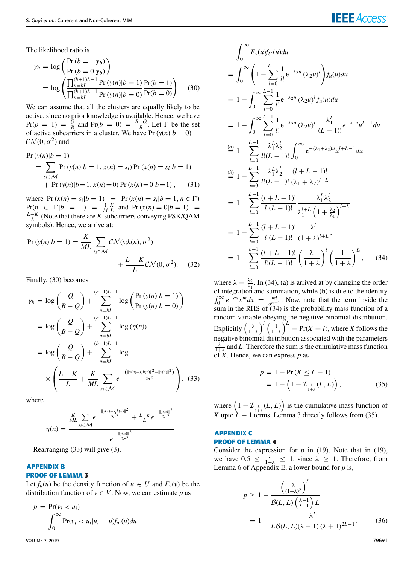# **IEEE** Acce

The likelihood ratio is

$$
\gamma_b = \log \left( \frac{\Pr(b = 1 | \mathbf{y}_b)}{\Pr(b = 0 | \mathbf{y}_b)} \right)
$$
  
= 
$$
\log \left( \frac{\prod_{n=bL}^{(b+1)L-1} \Pr(y(n)|b = 1) \Pr(b = 1)}{\prod_{n=bL}^{(b+1)L-1} \Pr(y(n)|b = 0) \Pr(b = 0)} \right)
$$
 (30)

We can assume that all the clusters are equally likely to be active, since no prior knowledge is available. Hence, we have  $Pr(b = 1) = \frac{\hat{Q}}{B}$  $\frac{\hat{Q}}{B}$  and Pr(*b* = 0) =  $\frac{B-Q}{B}$  $\frac{-Q}{B}$ . Let  $\Gamma$  be the set of active subcarriers in a cluster. We have Pr $(y(n)|b = 0)$  =  $\mathcal{CN}(0,\sigma^2)$  and

$$
\Pr(y(n)|b=1) = \sum_{s_i \in \mathcal{M}} \Pr(y(n)|b=1, x(n) = s_i) \Pr(x(n) = s_i|b=1) + \Pr(y(n)|b=1, x(n) = 0) \Pr(x(n) = 0|b=1), \quad (31)
$$

where  $Pr(x(n) = s_i | b = 1) = Pr(x(n) = s_i | b = 1, n \in \Gamma)$  $Pr(n \in \Gamma | b = 1) = \frac{1}{M} \frac{K}{L}$  and  $Pr(x(n) = 0|b = 1) =$  $\frac{L-K}{L}$  (Note that there are *K* subcarriers conveying PSK/QAM symbols). Hence, we arrive at:

$$
\Pr(y(n)|b=1) = \frac{K}{ML} \sum_{s_i \in \mathcal{M}} C\mathcal{N}(s_i h(n), \sigma^2) + \frac{L - K}{L} C\mathcal{N}(0, \sigma^2). \tag{32}
$$

Finally, (30) becomes

$$
\gamma_b = \log\left(\frac{Q}{B-Q}\right) + \sum_{n=bL}^{(b+1)L-1} \log\left(\frac{\Pr(y(n)|b=1)}{\Pr(y(n)|b=0)}\right)
$$
  
=  $\log\left(\frac{Q}{B-Q}\right) + \sum_{n=bL}^{\text{(b+1)L-1}} \log(\eta(n))$   
=  $\log\left(\frac{Q}{B-Q}\right) + \sum_{n=bL}^{\text{(b+1)L-1}} \log$   
 $\times \left(\frac{L-K}{L} + \frac{K}{ML} \sum_{s_i \in \mathcal{M}} e^{-\frac{(\|\mathbf{y}(n) - s_i h(n)\|^2 - \|\mathbf{y}(n)\|^2)}{2\sigma^2}}\right)$ . (33)

where

$$
\eta(n) = \frac{\frac{K}{ML} \sum_{s_i \in \mathcal{M}} e^{-\frac{||y(n) - s_i h(n)||^2}{2\sigma^2}} + \frac{L - k}{L} e^{-\frac{||y(n)||^2}{2\sigma^2}}}{e^{-\frac{||y(n)||^2}{2\sigma^2}}}
$$

Rearranging (33) will give (3).

#### **APPENDIX B PROOF OF LEMMA 3**

Let  $f_u(u)$  be the density function of  $u \in U$  and  $F_v(v)$  be the distribution function of  $v \in V$ . Now, we can estimate p as

$$
p = \Pr(v_j < u_i)
$$
\n
$$
= \int_0^\infty \Pr(v_j < u_i | u_i = u) f_{u_i}(u) du
$$

VOLUME 7, 2019 79691

$$
= \int_0^\infty F_\nu(u) f_U(u) du
$$
  
\n
$$
= \int_0^\infty \left(1 - \sum_{l=0}^{L-1} \frac{1}{l!} e^{-\lambda_2 u} (\lambda_2 u)^l \right) f_u(u) du
$$
  
\n
$$
= 1 - \int_0^\infty \sum_{l=0}^{L-1} \frac{1}{l!} e^{-\lambda_2 u} (\lambda_2 u)^l f_u(u) du
$$
  
\n
$$
= 1 - \int_0^\infty \sum_{l=0}^{L-1} \frac{1}{l!} e^{-\lambda_2 u} (\lambda_2 u)^l \frac{\lambda_1^L}{(L-1)!} e^{-\lambda_1 u} u^{L-1} du
$$
  
\n
$$
\stackrel{(a)}{=} 1 - \sum_{l=0}^{L-1} \frac{\lambda_1^L \lambda_2^l}{l!(L-1)!} \int_0^\infty e^{-(\lambda_1 + \lambda_2) u} u^{l+L-1} du
$$
  
\n
$$
\stackrel{(b)}{=} 1 - \sum_{j=0}^{L-1} \frac{\lambda_1^L \lambda_2^j}{l!(L-1)!} \frac{(l+L-1)!}{(\lambda_1 + \lambda_2)^{l+L}}
$$
  
\n
$$
= 1 - \sum_{l=0}^{L-1} \frac{(l+L-1)!}{l!(L-1)!} \frac{\lambda_1^L \lambda_2^l}{\lambda_1^{l+L} \left(1 + \frac{\lambda_2}{\lambda_1}\right)^{l+L}}
$$
  
\n
$$
= 1 - \sum_{l=0}^{L-1} \frac{(l+L-1)!}{l!(L-1)!} \frac{\lambda^l}{(1 + \lambda)^{l+L}},
$$
  
\n
$$
= 1 - \sum_{l=0}^{L-1} \frac{(l+L-1)!}{l!(L-1)!} \left(\frac{\lambda}{1 + \lambda}\right)^l \left(\frac{1}{1 + \lambda}\right)^L,
$$
  
\n(34)

where  $\lambda = \frac{\lambda_2}{\lambda_1}$ . In (34), (a) is arrived at by changing the order of integration and summation, while (b) is due to the identity  $\int_0^\infty e^{-ax} x^m dx = \frac{m!}{a^{m+1}}$  $\frac{m!}{a^{m+1}}$ . Now, note that the term inside the sum in the RHS of (34) is the probability mass function of a random variable obeying the negative binomial distribution. Explicitly  $\left(\frac{\lambda}{1+\lambda}\right)^l \left(\frac{1}{1+\lambda}\right)^L = \Pr(X = l)$ , where *X* follows the negative binomial distribution associated with the parameters  $\frac{\lambda}{1+\lambda}$  and *L*. Therefore the sum is the cumulative mass function of *X*. Hence, we can express *p* as

$$
p = 1 - \Pr(X \le L - 1) = 1 - \left(1 - \mathcal{I}_{\frac{\lambda}{1 + \lambda}}(L, L)\right),
$$
(35)

where  $\left(1 - \mathcal{I}_{\frac{\lambda}{1+\lambda}}(L, L)\right)$  is the cumulative mass function of *X* upto  $\dot{L}$  − 1 terms. Lemma 3 directly follows from (35).

#### **APPENDIX C PROOF OF LEMMA 4**

Consider the expression for  $p$  in (19). Note that in (19), we have  $0.5 \leq \frac{\lambda}{1+\lambda} \leq 1$ , since  $\lambda \geq 1$ . Therefore, from Lemma 6 of Appendix E, a lower bound for *p* is,

$$
p \ge 1 - \frac{\left(\frac{\lambda}{(1+\lambda)^2}\right)^L}{\mathcal{B}(L, L)\left(\frac{\lambda-1}{\lambda+1}\right)L}
$$

$$
= 1 - \frac{\lambda^L}{L\mathcal{B}(L, L)(\lambda - 1)(\lambda + 1)^{2L-1}}.
$$
(36)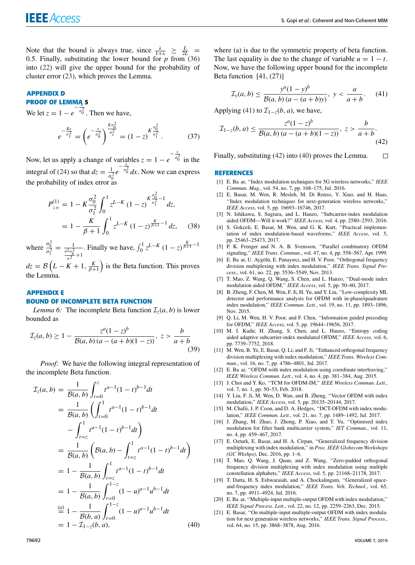Note that the bound is always true, since  $\frac{\lambda}{1+\lambda} \geq \frac{L}{2L}$ 0.5. Finally, substituting the lower bound for  $p$  from (36) into (22) will give the upper bound for the probability of cluster error (23), which proves the Lemma.

### **APPENDIX D PROOF OF LEMMA 5** *x*

We let  $z = 1 - e^{-\frac{x}{\sigma_0^2}}$ . Then we have,

$$
e^{-\frac{Kx}{\sigma_1^2}} = \left(e^{-\frac{x}{\sigma_0^2}}\right)^{\frac{K\sigma_0^2}{\sigma_1^2}} = (1-z)^{K\frac{\sigma_0^2}{\sigma_1^2}}.
$$
 (37)

Now, let us apply a change of variables  $z = 1 - e^{-\frac{x^2}{\sigma_0^2}}$  in the integral of (24) so that  $dz = \frac{1}{z}$  $rac{1}{\sigma_0^2}e^{-\frac{x}{\sigma_0^2}}dx$ . Now we can express the probability of index error as

$$
P_{\text{ie}}^{(1)} = 1 - K \frac{\sigma_0^2}{\sigma_1^2} \int_0^1 z^{L-K} (1-z)^{\frac{K}{\sigma_1^2} - 1} dz,
$$
  
= 
$$
1 - \frac{K}{\beta + 1} \int_0^1 z^{L-K} (1-z)^{\frac{K}{\beta + 1} - 1} dz,
$$
 (38)

where  $\frac{\sigma_0^2}{\sigma_1^2} = \frac{1}{\frac{\theta^2 \sigma_h^2}{n}}$  $\frac{\theta^2 \sigma_h^2}{\sigma^2} + 1$ *c*. Finally we have,  $\int_0^1 z^{L-K} (1 - z)^{\frac{K}{\beta + 1} - 1}$ 

 $dz = B\left(L - K + 1, \frac{K}{\beta + 1}\right)$  is the Beta function. This proves the Lemma.

### **APPENDIX E BOUND OF INCOMPLETE BETA FUNCTION**

*Lemma 6:* The incomplete Beta function  $\mathcal{I}_z(a, b)$  is lower bounded as

$$
\mathcal{I}_z(a,b) \ge 1 - \frac{z^a (1-z)^b}{\mathcal{B}(a,b) (a - (a+b)(1-z))}, \ z > \frac{b}{a+b}
$$
\n(39)

*Proof:* We have the following integral representation of the incomplete Beta function.

$$
\mathcal{I}_z(a, b) = \frac{1}{\mathcal{B}(a, b)} \int_{t=0}^z t^{a-1} (1-t)^{b-1} dt
$$
  
\n
$$
= \frac{1}{\mathcal{B}(a, b)} \left( \int_{t=0}^1 t^{a-1} (1-t)^{b-1} dt \right)
$$
  
\n
$$
- \int_{t=z}^1 t^{a-1} (1-t)^{b-1} dt \right)
$$
  
\n
$$
= \frac{1}{\mathcal{B}(a, b)} \left( \mathcal{B}(a, b) - \int_{t=z}^1 t^{a-1} (1-t)^{b-1} dt \right)
$$
  
\n
$$
= 1 - \frac{1}{\mathcal{B}(a, b)} \int_{t=z}^1 t^{a-1} (1-t)^{b-1} dt
$$
  
\n
$$
= 1 - \frac{1}{\mathcal{B}(a, b)} \int_{t=0}^{1-z} (1-u)^{a-1} u^{b-1} dt
$$
  
\n
$$
\stackrel{(a)}{=} 1 - \frac{1}{\mathcal{B}(b, a)} \int_{t=0}^{1-z} (1-u)^{a-1} u^{b-1} dt
$$
  
\n
$$
= 1 - \mathcal{I}_{1-z}(b, a), \qquad (40)
$$

where (a) is due to the symmetric property of beta function. The last equality is due to the change of variable  $u = 1 - t$ . Now, we have the following upper bound for the incomplete Beta function [41, (27)]

$$
\mathcal{I}_y(a,b) \le \frac{y^a (1-y)^b}{\mathcal{B}(a,b) (a - (a+b)y)}, \ y < \frac{a}{a+b}.\tag{41}
$$

Applying (41) to  $\mathcal{I}_{1-z}(b, a)$ , we have,

$$
\mathcal{I}_{1-z}(b, a) \le \frac{z^a (1-z)^b}{\mathcal{B}(a, b) (a - (a+b)(1-z))}, \ z > \frac{b}{a+b}.
$$
\n(42)

Finally, substituting (42) into (40) proves the Lemma.  $\Box$ 

#### **REFERENCES**

- [1] E. Ba ar, "Index modulation techniques for 5G wireless networks," *IEEE Commun. Mag.*, vol. 54, no. 7, pp. 168–175, Jul. 2016.
- [2] E. Basar, M. Wen, R. Mesleh, M. Di Renzo, Y. Xiao, and H. Haas, ''Index modulation techniques for next-generation wireless networks,'' *IEEE Access*, vol. 5, pp. 16693–16746, 2017.
- [3] N. Ishikawa, S. Sugiura, and L. Hanzo, ''Subcarrier-index modulation aided OFDM—Will it work?'' *IEEE Access*, vol. 4, pp. 2580–2593, 2016.
- [4] S. Gokceli, E. Basar, M. Wen, and G. K. Kurt, ''Practical implementation of index modulation-based waveforms,'' *IEEE Access*, vol. 5, pp. 25463–25473, 2017.
- [5] P. K. Frenger and N. A. B. Svensson, ''Parallel combinatory OFDM signaling,'' *IEEE Trans. Commun.*, vol. 47, no. 4, pp. 558–567, Apr. 1999.
- E. Ba ar, U. Aygölü, E. Panayırcı, and H. V. Poor, "Orthogonal frequency division multiplexing with index modulation,'' *IEEE Trans. Signal Process.*, vol. 61, no. 22, pp. 5536–5549, Nov. 2013.
- [7] T. Mao, Z. Wang, Q. Wang, S. Chen, and L. Hanzo, ''Dual-mode index modulation aided OFDM,'' *IEEE Access*, vol. 5, pp. 50–60, 2017.
- [8] B. Zheng, F. Chen, M. Wen, F. Ji, H. Yu, and Y. Liu, ''Low-complexity ML detector and performance analysis for OFDM with in-phase/quadrature index modulation,'' *IEEE Commun. Lett.*, vol. 19, no. 11, pp. 1893–1896, Nov. 2015.
- [9] Q. Li, M. Wen, H. V. Poor, and F. Chen, ''Information guided precoding for OFDM,'' *IEEE Access*, vol. 5, pp. 19644–19656, 2017.
- [10] M. I. Kadir, H. Zhang, S. Chen, and L. Hanzo, ''Entropy coding aided adaptive subcarrier-index modulated OFDM,'' *IEEE Access*, vol. 6, pp. 7739–7752, 2018.
- [11] M. Wen, B. Ye, E. Basar, Q. Li, and F. Ji, "Enhanced orthogonal frequency division multiplexing with index modulation,'' *IEEE Trans. Wireless Commun.*, vol. 16, no. 7, pp. 4786–4801, Jul. 2017.
- [12] E. Ba ar, "OFDM with index modulation using coordinate interleaving," *IEEE Wireless Commun. Lett.*, vol. 4, no. 4, pp. 381–384, Aug. 2015.
- [13] J. Choi and Y. Ko, ''TCM for OFDM-IM,'' *IEEE Wireless Commun. Lett.*, vol. 7, no. 1, pp. 50–53, Feb. 2018.
- [14] Y. Liu, F. Ji, M. Wen, D. Wan, and B. Zheng, "Vector OFDM with index modulation,'' *IEEE Access*, vol. 5, pp. 20135–20144, 2017.
- [15] M. Chafii, J. P. Coon, and D. A. Hedges, "DCT-OFDM with index modulation,'' *IEEE Commun. Lett.*, vol. 21, no. 7, pp. 1489–1492, Jul. 2017.
- [16] J. Zhang, M. Zhao, J. Zhong, P. Xiao, and T. Yu, "Optimised index modulation for filter bank multicarrier system,'' *IET Commun.*, vol. 11, no. 4, pp. 459–467, 2017.
- [17] E. Ozturk, E. Basar, and H. A. Cirpan, ''Generalized frequency division multiplexing with index modulation,'' in *Proc. IEEE Globecom Workshops (GC Wkshps)*, Dec. 2016, pp. 1–6.
- [18] T. Mao, Q. Wang, J. Quan, and Z. Wang, "Zero-padded orthogonal frequency division multiplexing with index modulation using multiple constellation alphabets,'' *IEEE Access*, vol. 5, pp. 21168–21178, 2017.
- [19] T. Datta, H. S. Eshwaraiah, and A. Chockalingam, "Generalized spaceand-frequency index modulation,'' *IEEE Trans. Veh. Technol.*, vol. 65, no. 7, pp. 4911–4924, Jul. 2016.
- [20] E. Ba ar, "Multiple-input multiple-output OFDM with index modulation," *IEEE Signal Process. Lett.*, vol. 22, no. 12, pp. 2259–2263, Dec. 2015.
- [21] E. Basar, "On multiple-input multiple-output OFDM with index modulation for next generation wireless networks,'' *IEEE Trans. Signal Process.*, vol. 64, no. 15, pp. 3868–3878, Aug. 2016.